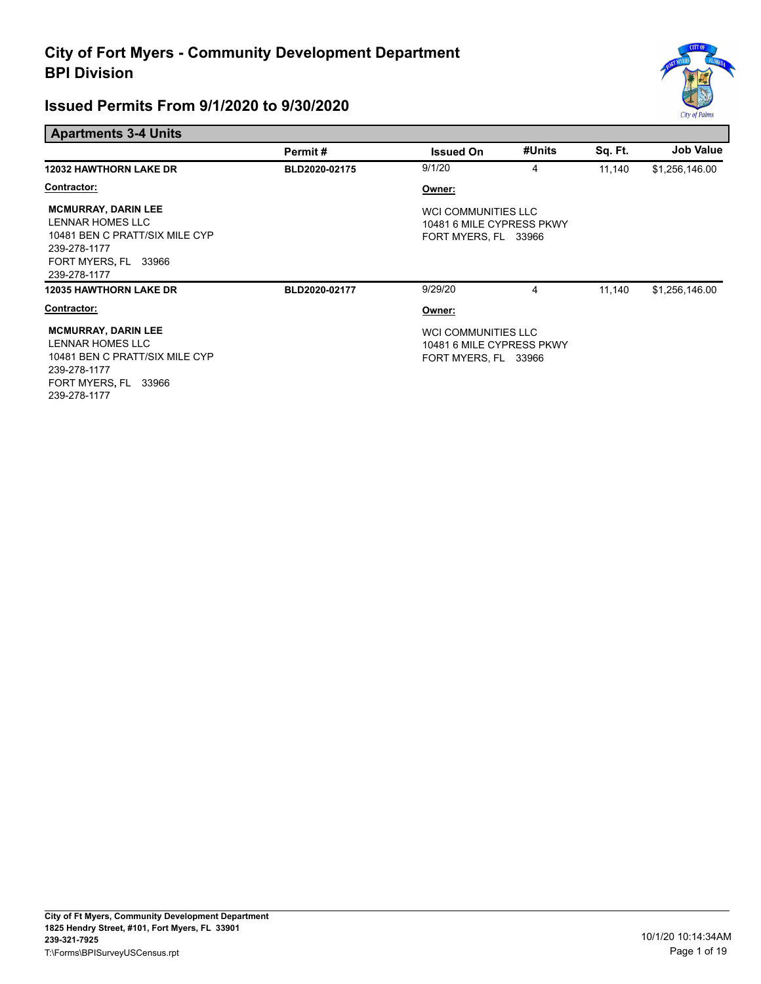

### **Apartments 3-4 Units**

|                                                                                                                                             |               |                                                                                 | #Units | Sq. Ft. | <b>Job Value</b> |
|---------------------------------------------------------------------------------------------------------------------------------------------|---------------|---------------------------------------------------------------------------------|--------|---------|------------------|
|                                                                                                                                             | Permit#       | <b>Issued On</b>                                                                |        |         |                  |
| <b>12032 HAWTHORN LAKE DR</b>                                                                                                               | BLD2020-02175 | 9/1/20                                                                          | 4      | 11,140  | \$1,256,146.00   |
| Contractor:                                                                                                                                 |               | Owner:                                                                          |        |         |                  |
| <b>MCMURRAY, DARIN LEE</b><br>LENNAR HOMES LLC<br>10481 BEN C PRATT/SIX MILE CYP<br>239-278-1177<br>FORT MYERS, FL 33966<br>239-278-1177    |               | <b>WCI COMMUNITIES LLC</b><br>10481 6 MILE CYPRESS PKWY<br>FORT MYERS, FL 33966 |        |         |                  |
| <b>12035 HAWTHORN LAKE DR</b>                                                                                                               | BLD2020-02177 | 9/29/20                                                                         | 4      | 11,140  | \$1,256,146.00   |
| Contractor:                                                                                                                                 |               | Owner:                                                                          |        |         |                  |
| <b>MCMURRAY, DARIN LEE</b><br>LENNAR HOMES LLC<br>10481 BEN C PRATT/SIX MILE CYP<br>239-278-1177<br>FORT MYERS, FL<br>33966<br>239-278-1177 |               | <b>WCI COMMUNITIES LLC</b><br>10481 6 MILE CYPRESS PKWY<br>FORT MYERS, FL 33966 |        |         |                  |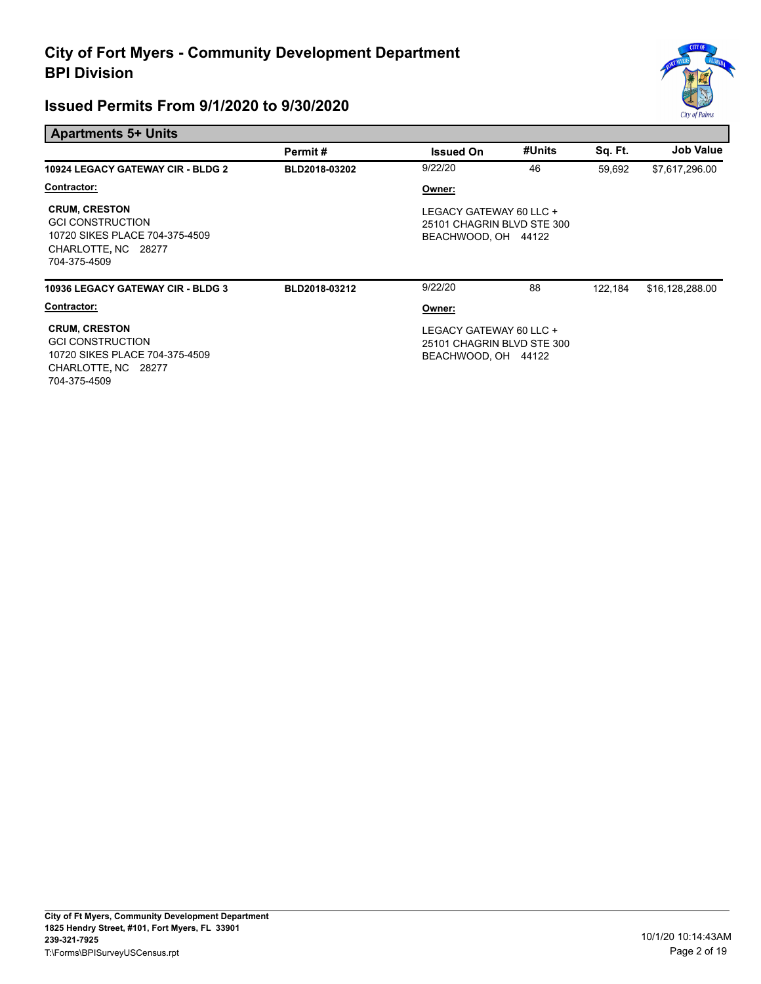

# **Apartments 5+ Units**  Permit # **Issued On #Units** Sq. Ft. Job Value **10924 LEGACY GATEWAY CIR - BLDG 2 BLD2018-03202** 9/22/20 46 59,692 \$[7,617,296.00](https://7,617,296.00)  **Contractor: Owner: Owner: Owner: Owner: Owner: Owner: Owner: Owner: Owner: Owner: Owner: Owner: Owner: Owner: Owner: Owner: Owner: Owner: Owner: Owner: Owner: OWNER**

### **CRUM, CRESTON 60 CRUM, CRESTON CRUM, CRESTON CRUM, CRESTON CRUM**

 CHARLOTTE**,** NC 28277 GCI CONSTRUCTION 25101 CHAGRIN BLVD STE 300 10720 SIKES PLACE 704-375-4509 BEACHWOOD, OH 44122 704-375-4509

#### **10936 LEGACY GATEWAY CIR - BLDG 3** BLD2018-03212 9/22/20 88 122,184 \$16,128,288.00

#### **Contractor: Owner: Owner: Owner: Owner: Owner: Owner: Owner: Owner: Owner: Owner: Owner: Owner: Owner: Owner: Owner: Owner: Owner: Owner: Owner: Owner: Owner: OWNER**

 CHARLOTTE**,** NC 28277 10720 SIKES PLACE 704-375-4509 704-375-4509

**CRUM, CRESTON** LEGACY GATEWAY 60 LLC + 25101 CHAGRIN BLVD STE 300<br>BEACHWOOD, OH 44122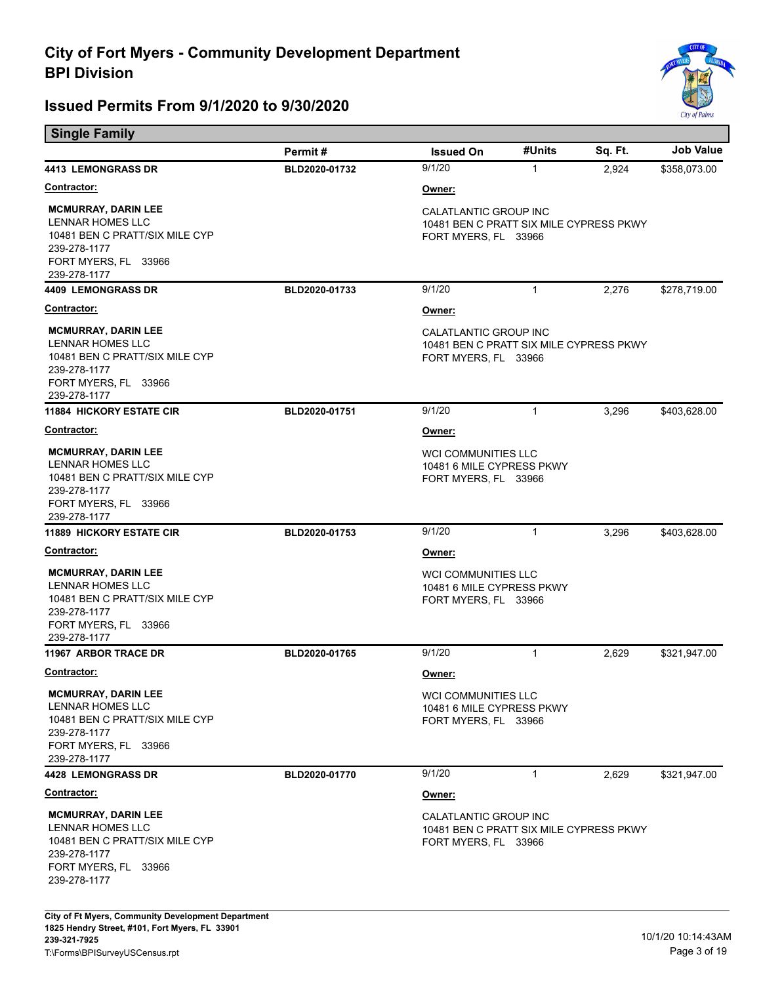

| <b>Single Family</b>                                                                                                                            |               |                                                                                          |              |         |                  |
|-------------------------------------------------------------------------------------------------------------------------------------------------|---------------|------------------------------------------------------------------------------------------|--------------|---------|------------------|
|                                                                                                                                                 | Permit#       | <b>Issued On</b>                                                                         | #Units       | Sq. Ft. | <b>Job Value</b> |
| <b>4413 LEMONGRASS DR</b>                                                                                                                       | BLD2020-01732 | 9/1/20                                                                                   | $\mathbf{1}$ | 2,924   | \$358,073.00     |
| <u>Contractor:</u>                                                                                                                              |               | Owner:                                                                                   |              |         |                  |
| <b>MCMURRAY, DARIN LEE</b><br>LENNAR HOMES LLC<br>10481 BEN C PRATT/SIX MILE CYP<br>239-278-1177<br>FORT MYERS, FL 33966<br>239-278-1177        |               | CALATLANTIC GROUP INC<br>10481 BEN C PRATT SIX MILE CYPRESS PKWY<br>FORT MYERS, FL 33966 |              |         |                  |
| <b>4409 LEMONGRASS DR</b>                                                                                                                       | BLD2020-01733 | 9/1/20                                                                                   | $\mathbf{1}$ | 2,276   | \$278,719.00     |
| <u>Contractor:</u>                                                                                                                              |               | Owner:                                                                                   |              |         |                  |
| <b>MCMURRAY, DARIN LEE</b><br>LENNAR HOMES LLC<br>10481 BEN C PRATT/SIX MILE CYP<br>239-278-1177<br>FORT MYERS, FL 33966<br>239-278-1177        |               | CALATLANTIC GROUP INC<br>10481 BEN C PRATT SIX MILE CYPRESS PKWY<br>FORT MYERS, FL 33966 |              |         |                  |
| <b>11884 HICKORY ESTATE CIR</b>                                                                                                                 | BLD2020-01751 | 9/1/20                                                                                   | $\mathbf{1}$ | 3,296   | \$403,628.00     |
| <b>Contractor:</b>                                                                                                                              |               | Owner:                                                                                   |              |         |                  |
| <b>MCMURRAY, DARIN LEE</b><br>LENNAR HOMES LLC<br>10481 BEN C PRATT/SIX MILE CYP<br>239-278-1177<br>FORT MYERS, FL 33966<br>239-278-1177        |               | <b>WCI COMMUNITIES LLC</b><br>10481 6 MILE CYPRESS PKWY<br>FORT MYERS, FL 33966          |              |         |                  |
| <b>11889 HICKORY ESTATE CIR</b>                                                                                                                 | BLD2020-01753 | 9/1/20                                                                                   | $\mathbf{1}$ | 3,296   | \$403,628.00     |
| <u>Contractor:</u>                                                                                                                              |               | Owner:                                                                                   |              |         |                  |
| <b>MCMURRAY, DARIN LEE</b><br>LENNAR HOMES LLC<br>10481 BEN C PRATT/SIX MILE CYP<br>239-278-1177<br>FORT MYERS, FL 33966<br>239-278-1177        |               | WCI COMMUNITIES LLC<br>10481 6 MILE CYPRESS PKWY<br>FORT MYERS, FL 33966                 |              |         |                  |
| <b>11967 ARBOR TRACE DR</b>                                                                                                                     | BLD2020-01765 | 9/1/20                                                                                   | $\mathbf{1}$ | 2,629   | \$321,947.00     |
| <b>Contractor:</b>                                                                                                                              |               | Owner:                                                                                   |              |         |                  |
| <b>MCMURRAY, DARIN LEE</b><br>LENNAR HOMES LLC<br>10481 BEN C PRATT/SIX MILE CYP<br>239-278-1177<br>FORT MYERS, FL 33966<br>239-278-1177        |               | WCI COMMUNITIES LLC<br>10481 6 MILE CYPRESS PKWY<br>FORT MYERS, FL 33966                 |              |         |                  |
| <b>4428 LEMONGRASS DR</b>                                                                                                                       | BLD2020-01770 | 9/1/20                                                                                   | $\mathbf{1}$ | 2,629   | \$321,947.00     |
| <u>Contractor:</u>                                                                                                                              |               | Owner:                                                                                   |              |         |                  |
| <b>MCMURRAY, DARIN LEE</b><br><b>LENNAR HOMES LLC</b><br>10481 BEN C PRATT/SIX MILE CYP<br>239-278-1177<br>FORT MYERS, FL 33966<br>239-278-1177 |               | CALATLANTIC GROUP INC<br>10481 BEN C PRATT SIX MILE CYPRESS PKWY<br>FORT MYERS, FL 33966 |              |         |                  |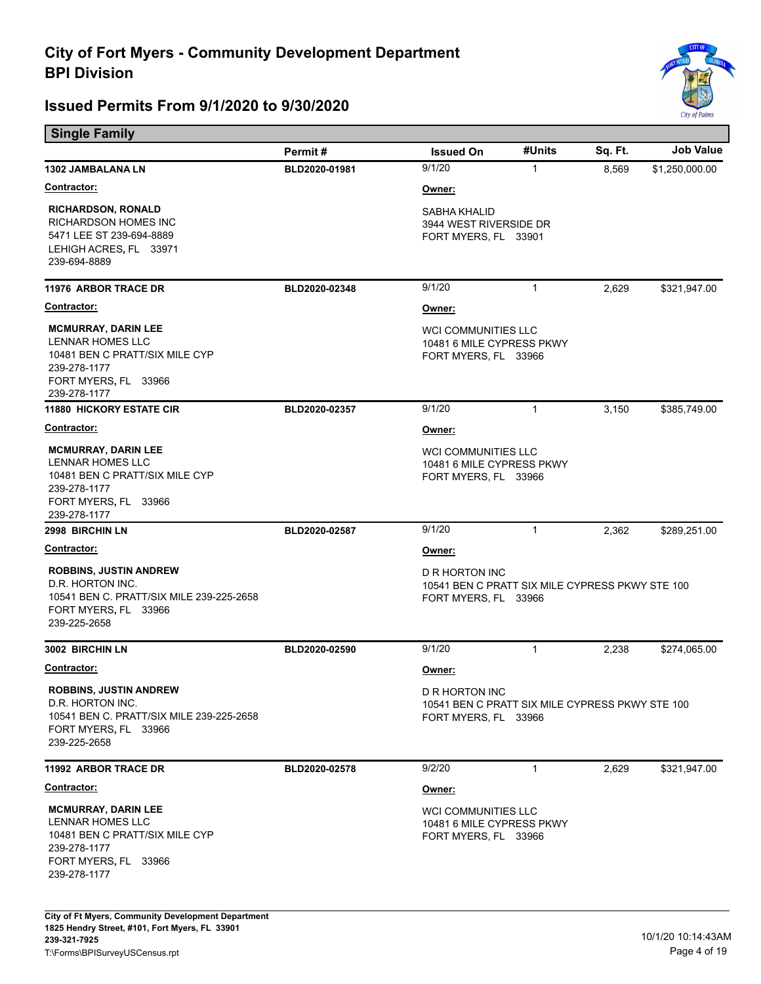

| <b>Single Family</b>                                                                                                                            |               |                                                                                           |              |         |                |
|-------------------------------------------------------------------------------------------------------------------------------------------------|---------------|-------------------------------------------------------------------------------------------|--------------|---------|----------------|
|                                                                                                                                                 | Permit#       | <b>Issued On</b>                                                                          | #Units       | Sq. Ft. | Job Value      |
| <b>1302 JAMBALANA LN</b>                                                                                                                        | BLD2020-01981 | 9/1/20                                                                                    | $\mathbf{1}$ | 8,569   | \$1,250,000.00 |
| Contractor:                                                                                                                                     |               | Owner:                                                                                    |              |         |                |
| <b>RICHARDSON, RONALD</b><br><b>RICHARDSON HOMES INC</b><br>5471 LEE ST 239-694-8889<br>LEHIGH ACRES, FL 33971<br>239-694-8889                  |               | SABHA KHALID<br>3944 WEST RIVERSIDE DR<br>FORT MYERS, FL 33901                            |              |         |                |
| <b>11976 ARBOR TRACE DR</b>                                                                                                                     | BLD2020-02348 | 9/1/20                                                                                    | $\mathbf{1}$ | 2,629   | \$321,947.00   |
| <b>Contractor:</b>                                                                                                                              |               | Owner:                                                                                    |              |         |                |
| <b>MCMURRAY, DARIN LEE</b><br>LENNAR HOMES LLC<br>10481 BEN C PRATT/SIX MILE CYP<br>239-278-1177<br>FORT MYERS, FL 33966<br>239-278-1177        |               | <b>WCI COMMUNITIES LLC</b><br>10481 6 MILE CYPRESS PKWY<br>FORT MYERS, FL 33966           |              |         |                |
| <b>11880 HICKORY ESTATE CIR</b>                                                                                                                 | BLD2020-02357 | 9/1/20                                                                                    | $\mathbf{1}$ | 3,150   | \$385,749.00   |
| Contractor:                                                                                                                                     |               | <u>Owner:</u>                                                                             |              |         |                |
| <b>MCMURRAY, DARIN LEE</b><br><b>LENNAR HOMES LLC</b><br>10481 BEN C PRATT/SIX MILE CYP<br>239-278-1177<br>FORT MYERS, FL 33966<br>239-278-1177 |               | <b>WCI COMMUNITIES LLC</b><br>10481 6 MILE CYPRESS PKWY<br>FORT MYERS, FL 33966           |              |         |                |
| 2998 BIRCHIN LN                                                                                                                                 | BLD2020-02587 | 9/1/20                                                                                    | $\mathbf{1}$ | 2,362   | \$289,251.00   |
| <u>Contractor:</u>                                                                                                                              |               | Owner:                                                                                    |              |         |                |
| <b>ROBBINS, JUSTIN ANDREW</b><br>D.R. HORTON INC.<br>10541 BEN C. PRATT/SIX MILE 239-225-2658<br>FORT MYERS, FL 33966<br>239-225-2658           |               | D R HORTON INC<br>10541 BEN C PRATT SIX MILE CYPRESS PKWY STE 100<br>FORT MYERS, FL 33966 |              |         |                |
| 3002 BIRCHIN LN                                                                                                                                 | BLD2020-02590 | 9/1/20                                                                                    | $\mathbf{1}$ | 2,238   | \$274,065.00   |
| Contractor:                                                                                                                                     |               | Owner:                                                                                    |              |         |                |
| <b>ROBBINS, JUSTIN ANDREW</b><br>D.R. HORTON INC.<br>10541 BEN C. PRATT/SIX MILE 239-225-2658<br>FORT MYERS, FL 33966<br>239-225-2658           |               | D R HORTON INC<br>10541 BEN C PRATT SIX MILE CYPRESS PKWY STE 100<br>FORT MYERS, FL 33966 |              |         |                |
| 11992 ARBOR TRACE DR                                                                                                                            | BLD2020-02578 | 9/2/20                                                                                    | $\mathbf{1}$ | 2,629   | \$321,947.00   |
| Contractor:                                                                                                                                     |               | Owner:                                                                                    |              |         |                |
| <b>MCMURRAY, DARIN LEE</b><br>LENNAR HOMES LLC<br>10481 BEN C PRATT/SIX MILE CYP<br>239-278-1177<br>FORT MYERS, FL 33966<br>239-278-1177        |               | WCI COMMUNITIES LLC<br>10481 6 MILE CYPRESS PKWY<br>FORT MYERS, FL 33966                  |              |         |                |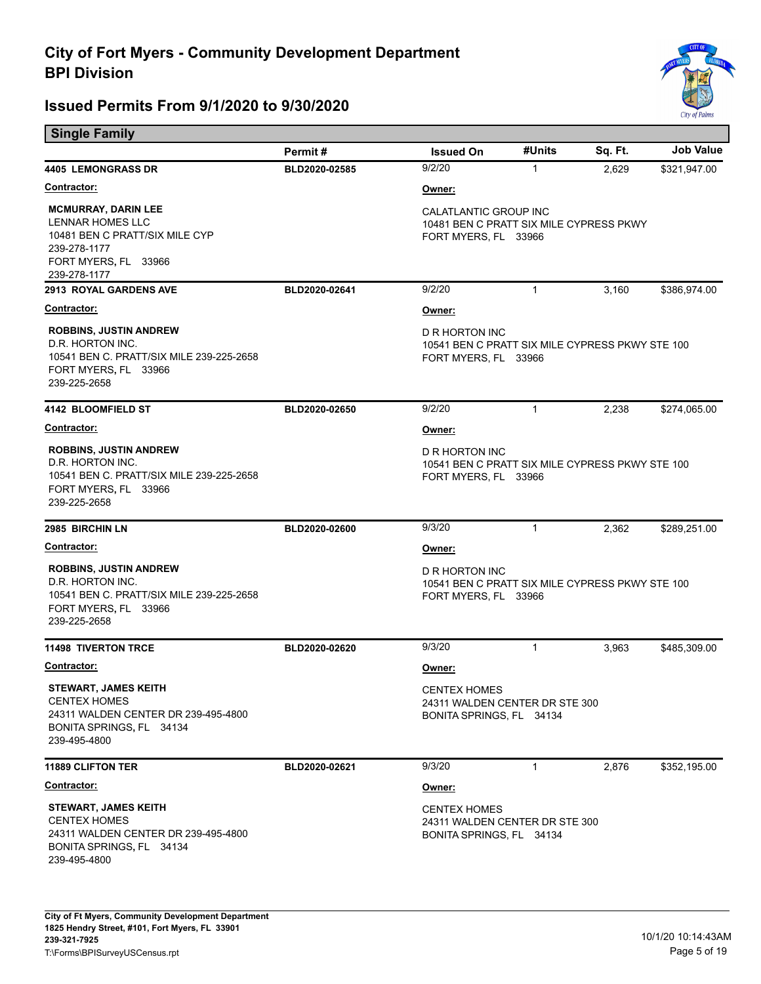

| <b>Single Family</b>                                                                                                                     |               |                                                                                           |              |         |                  |  |
|------------------------------------------------------------------------------------------------------------------------------------------|---------------|-------------------------------------------------------------------------------------------|--------------|---------|------------------|--|
|                                                                                                                                          | Permit#       | <b>Issued On</b>                                                                          | #Units       | Sq. Ft. | <b>Job Value</b> |  |
| <b>4405 LEMONGRASS DR</b>                                                                                                                | BLD2020-02585 | 9/2/20                                                                                    | $\mathbf{1}$ | 2,629   | \$321,947.00     |  |
| <b>Contractor:</b>                                                                                                                       |               | Owner:                                                                                    |              |         |                  |  |
| <b>MCMURRAY, DARIN LEE</b><br>LENNAR HOMES LLC<br>10481 BEN C PRATT/SIX MILE CYP<br>239-278-1177<br>FORT MYERS, FL 33966<br>239-278-1177 |               | CALATLANTIC GROUP INC<br>10481 BEN C PRATT SIX MILE CYPRESS PKWY<br>FORT MYERS, FL 33966  |              |         |                  |  |
| 2913 ROYAL GARDENS AVE                                                                                                                   | BLD2020-02641 | 9/2/20                                                                                    | $\mathbf{1}$ | 3,160   | \$386,974.00     |  |
| <u>Contractor:</u>                                                                                                                       |               | Owner:                                                                                    |              |         |                  |  |
| <b>ROBBINS, JUSTIN ANDREW</b><br>D.R. HORTON INC.<br>10541 BEN C. PRATT/SIX MILE 239-225-2658<br>FORT MYERS, FL 33966<br>239-225-2658    |               | D R HORTON INC<br>10541 BEN C PRATT SIX MILE CYPRESS PKWY STE 100<br>FORT MYERS, FL 33966 |              |         |                  |  |
| <b>4142 BLOOMFIELD ST</b>                                                                                                                | BLD2020-02650 | 9/2/20                                                                                    | $\mathbf{1}$ | 2,238   | \$274,065.00     |  |
| <b>Contractor:</b>                                                                                                                       |               | Owner:                                                                                    |              |         |                  |  |
| <b>ROBBINS, JUSTIN ANDREW</b><br>D.R. HORTON INC.<br>10541 BEN C. PRATT/SIX MILE 239-225-2658<br>FORT MYERS, FL 33966<br>239-225-2658    |               | D R HORTON INC<br>10541 BEN C PRATT SIX MILE CYPRESS PKWY STE 100<br>FORT MYERS, FL 33966 |              |         |                  |  |
| 2985 BIRCHIN LN                                                                                                                          | BLD2020-02600 | 9/3/20                                                                                    | $\mathbf{1}$ | 2,362   | \$289,251.00     |  |
| <b>Contractor:</b>                                                                                                                       |               | Owner:                                                                                    |              |         |                  |  |
| <b>ROBBINS, JUSTIN ANDREW</b><br>D.R. HORTON INC.<br>10541 BEN C. PRATT/SIX MILE 239-225-2658<br>FORT MYERS, FL 33966<br>239-225-2658    |               | D R HORTON INC<br>10541 BEN C PRATT SIX MILE CYPRESS PKWY STE 100<br>FORT MYERS, FL 33966 |              |         |                  |  |
| <b>11498 TIVERTON TRCE</b>                                                                                                               | BLD2020-02620 | 9/3/20                                                                                    | $\mathbf{1}$ | 3,963   | \$485,309.00     |  |
| <b>Contractor:</b>                                                                                                                       |               | Owner:                                                                                    |              |         |                  |  |
| <b>STEWART, JAMES KEITH</b><br><b>CENTEX HOMES</b><br>24311 WALDEN CENTER DR 239-495-4800<br>BONITA SPRINGS, FL 34134<br>239-495-4800    |               | <b>CENTEX HOMES</b><br>24311 WALDEN CENTER DR STE 300<br>BONITA SPRINGS, FL 34134         |              |         |                  |  |
| <b>11889 CLIFTON TER</b>                                                                                                                 | BLD2020-02621 | 9/3/20                                                                                    | $\mathbf{1}$ | 2,876   | \$352,195.00     |  |
| <b>Contractor:</b>                                                                                                                       |               | Owner:                                                                                    |              |         |                  |  |
| <b>STEWART, JAMES KEITH</b><br><b>CENTEX HOMES</b><br>24311 WALDEN CENTER DR 239-495-4800<br>BONITA SPRINGS, FL 34134<br>239-495-4800    |               | <b>CENTEX HOMES</b><br>24311 WALDEN CENTER DR STE 300<br>BONITA SPRINGS, FL 34134         |              |         |                  |  |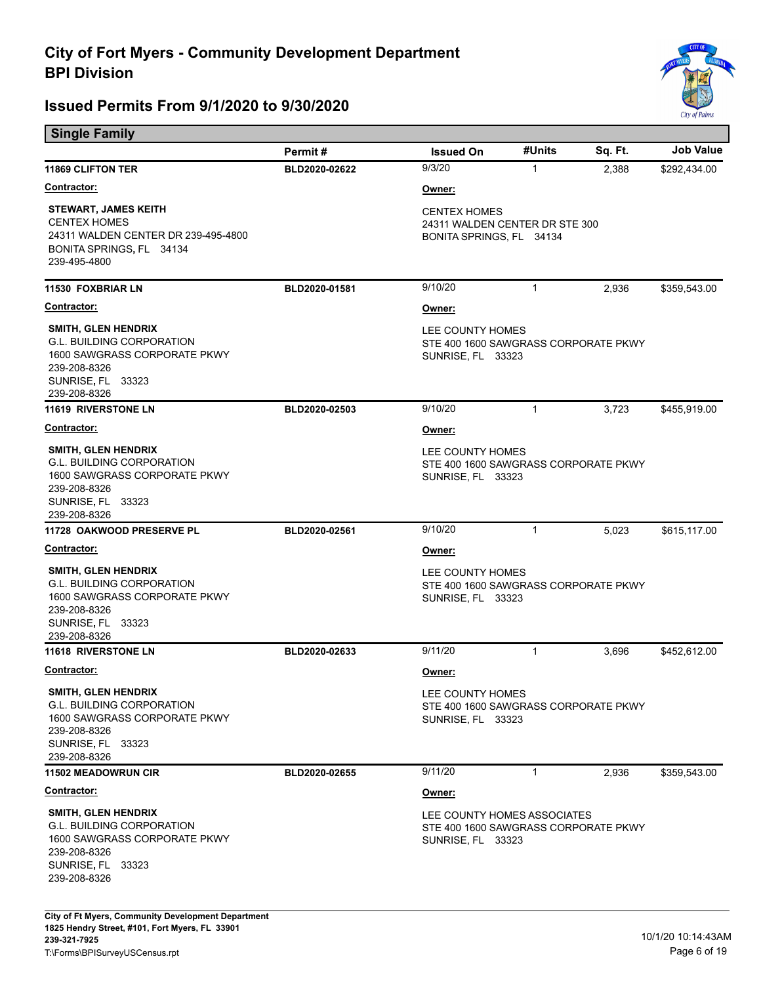

| <b>Single Family</b>                                                                                                                                |               |                                                                                                 |              |         |                  |
|-----------------------------------------------------------------------------------------------------------------------------------------------------|---------------|-------------------------------------------------------------------------------------------------|--------------|---------|------------------|
|                                                                                                                                                     | Permit#       | <b>Issued On</b>                                                                                | #Units       | Sq. Ft. | <b>Job Value</b> |
| <b>11869 CLIFTON TER</b>                                                                                                                            | BLD2020-02622 | 9/3/20                                                                                          | $\mathbf{1}$ | 2,388   | \$292,434.00     |
| <b>Contractor:</b>                                                                                                                                  |               | Owner:                                                                                          |              |         |                  |
| <b>STEWART, JAMES KEITH</b><br><b>CENTEX HOMES</b><br>24311 WALDEN CENTER DR 239-495-4800<br>BONITA SPRINGS, FL 34134<br>239-495-4800               |               | <b>CENTEX HOMES</b><br>24311 WALDEN CENTER DR STE 300<br>BONITA SPRINGS, FL 34134               |              |         |                  |
| 11530 FOXBRIAR LN                                                                                                                                   | BLD2020-01581 | 9/10/20                                                                                         | $\mathbf{1}$ | 2,936   | \$359,543.00     |
| <b>Contractor:</b>                                                                                                                                  |               | Owner:                                                                                          |              |         |                  |
| <b>SMITH, GLEN HENDRIX</b><br><b>G.L. BUILDING CORPORATION</b><br>1600 SAWGRASS CORPORATE PKWY<br>239-208-8326<br>SUNRISE, FL 33323<br>239-208-8326 |               | LEE COUNTY HOMES<br>STE 400 1600 SAWGRASS CORPORATE PKWY<br>SUNRISE, FL 33323                   |              |         |                  |
| <b>11619 RIVERSTONE LN</b>                                                                                                                          | BLD2020-02503 | 9/10/20                                                                                         | $\mathbf{1}$ | 3,723   | \$455,919.00     |
| <b>Contractor:</b>                                                                                                                                  |               | Owner:                                                                                          |              |         |                  |
| <b>SMITH, GLEN HENDRIX</b><br><b>G.L. BUILDING CORPORATION</b><br>1600 SAWGRASS CORPORATE PKWY<br>239-208-8326<br>SUNRISE, FL 33323<br>239-208-8326 |               | LEE COUNTY HOMES<br>STE 400 1600 SAWGRASS CORPORATE PKWY<br>SUNRISE, FL 33323                   |              |         |                  |
| 11728 OAKWOOD PRESERVE PL                                                                                                                           | BLD2020-02561 | 9/10/20                                                                                         | $\mathbf{1}$ | 5,023   | \$615,117.00     |
| Contractor:                                                                                                                                         |               | Owner:                                                                                          |              |         |                  |
| <b>SMITH, GLEN HENDRIX</b><br>G.L. BUILDING CORPORATION<br>1600 SAWGRASS CORPORATE PKWY<br>239-208-8326<br>SUNRISE, FL 33323<br>239-208-8326        |               | LEE COUNTY HOMES<br>STE 400 1600 SAWGRASS CORPORATE PKWY<br>SUNRISE, FL 33323                   |              |         |                  |
| <b>11618 RIVERSTONE LN</b>                                                                                                                          | BLD2020-02633 | 9/11/20                                                                                         | 1            | 3,696   | \$452,612.00     |
| Contractor:                                                                                                                                         |               | Owner:                                                                                          |              |         |                  |
| <b>SMITH, GLEN HENDRIX</b><br><b>G.L. BUILDING CORPORATION</b><br>1600 SAWGRASS CORPORATE PKWY<br>239-208-8326<br>SUNRISE, FL 33323<br>239-208-8326 |               | LEE COUNTY HOMES<br>STE 400 1600 SAWGRASS CORPORATE PKWY<br>SUNRISE, FL 33323                   |              |         |                  |
| <b>11502 MEADOWRUN CIR</b>                                                                                                                          | BLD2020-02655 | 9/11/20                                                                                         | 1            | 2,936   | \$359,543.00     |
| <b>Contractor:</b>                                                                                                                                  |               | Owner:                                                                                          |              |         |                  |
| <b>SMITH, GLEN HENDRIX</b><br>G.L. BUILDING CORPORATION<br>1600 SAWGRASS CORPORATE PKWY<br>239-208-8326<br>SUNRISE, FL 33323<br>239-208-8326        |               | LEE COUNTY HOMES ASSOCIATES<br>STE 400 1600 SAWGRASS CORPORATE PKWY<br><b>SUNRISE, FL 33323</b> |              |         |                  |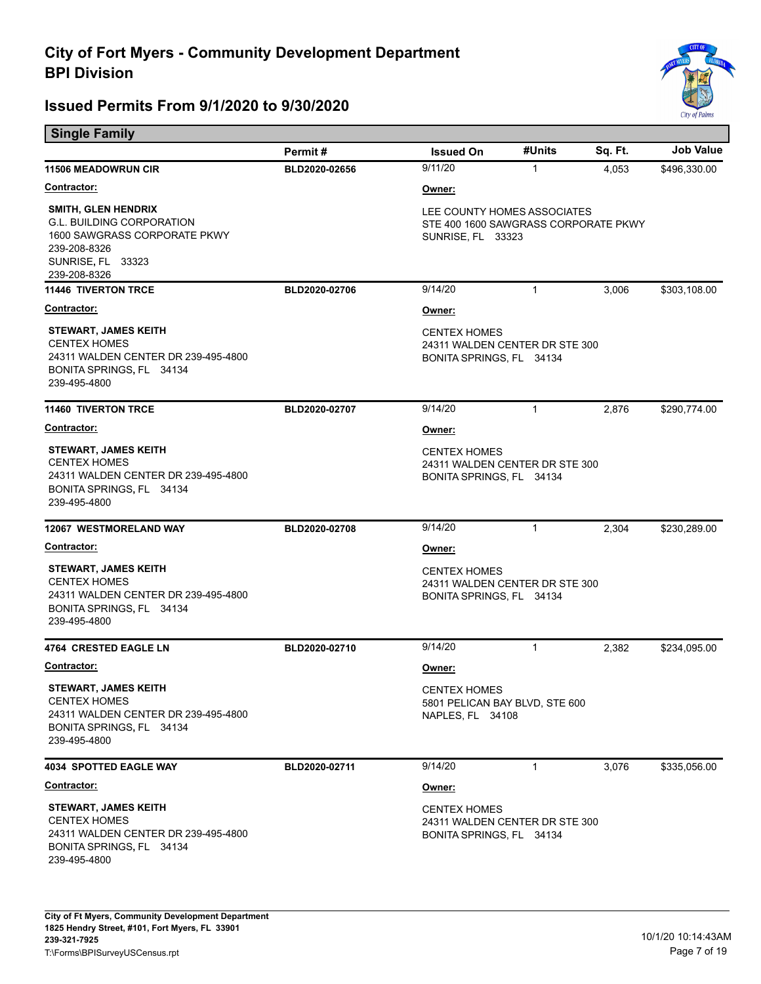

| <b>Single Family</b>                                                                                                                                |               |                                                                                          |        |         |                  |  |
|-----------------------------------------------------------------------------------------------------------------------------------------------------|---------------|------------------------------------------------------------------------------------------|--------|---------|------------------|--|
|                                                                                                                                                     | Permit#       | <b>Issued On</b>                                                                         | #Units | Sq. Ft. | <b>Job Value</b> |  |
| <b>11506 MEADOWRUN CIR</b>                                                                                                                          | BLD2020-02656 | 9/11/20                                                                                  | 1      | 4,053   | \$496,330.00     |  |
| <u>Contractor:</u>                                                                                                                                  |               | Owner:                                                                                   |        |         |                  |  |
| <b>SMITH, GLEN HENDRIX</b><br><b>G.L. BUILDING CORPORATION</b><br>1600 SAWGRASS CORPORATE PKWY<br>239-208-8326<br>SUNRISE, FL 33323<br>239-208-8326 |               | LEE COUNTY HOMES ASSOCIATES<br>STE 400 1600 SAWGRASS CORPORATE PKWY<br>SUNRISE, FL 33323 |        |         |                  |  |
| <b>11446 TIVERTON TRCE</b>                                                                                                                          | BLD2020-02706 | 9/14/20                                                                                  | 1      | 3,006   | \$303,108.00     |  |
| <u>Contractor:</u>                                                                                                                                  |               | Owner:                                                                                   |        |         |                  |  |
| <b>STEWART, JAMES KEITH</b><br><b>CENTEX HOMES</b><br>24311 WALDEN CENTER DR 239-495-4800<br>BONITA SPRINGS, FL 34134<br>239-495-4800               |               | <b>CENTEX HOMES</b><br>24311 WALDEN CENTER DR STE 300<br>BONITA SPRINGS, FL 34134        |        |         |                  |  |
| <b>11460 TIVERTON TRCE</b>                                                                                                                          | BLD2020-02707 | 9/14/20                                                                                  | 1      | 2,876   | \$290,774.00     |  |
| <u>Contractor:</u>                                                                                                                                  |               | Owner:                                                                                   |        |         |                  |  |
| <b>STEWART, JAMES KEITH</b><br><b>CENTEX HOMES</b><br>24311 WALDEN CENTER DR 239-495-4800<br>BONITA SPRINGS, FL 34134<br>239-495-4800               |               | <b>CENTEX HOMES</b><br>24311 WALDEN CENTER DR STE 300<br>BONITA SPRINGS, FL 34134        |        |         |                  |  |
| <b>12067 WESTMORELAND WAY</b>                                                                                                                       | BLD2020-02708 | 9/14/20                                                                                  | 1      | 2,304   | \$230,289.00     |  |
| Contractor:                                                                                                                                         |               | Owner:                                                                                   |        |         |                  |  |
| <b>STEWART, JAMES KEITH</b><br><b>CENTEX HOMES</b><br>24311 WALDEN CENTER DR 239-495-4800<br>BONITA SPRINGS, FL 34134<br>239-495-4800               |               | <b>CENTEX HOMES</b><br>24311 WALDEN CENTER DR STE 300<br>BONITA SPRINGS, FL 34134        |        |         |                  |  |
| <b>4764 CRESTED EAGLE LN</b>                                                                                                                        | BLD2020-02710 | 9/14/20                                                                                  | 1      | 2,382   | \$234,095.00     |  |
| <u>Contractor:</u>                                                                                                                                  |               | Owner:                                                                                   |        |         |                  |  |
| <b>STEWART, JAMES KEITH</b><br><b>CENTEX HOMES</b><br>24311 WALDEN CENTER DR 239-495-4800<br>BONITA SPRINGS, FL 34134<br>239-495-4800               |               | <b>CENTEX HOMES</b><br>5801 PELICAN BAY BLVD, STE 600<br>NAPLES, FL 34108                |        |         |                  |  |
| 4034 SPOTTED EAGLE WAY                                                                                                                              | BLD2020-02711 | 9/14/20                                                                                  | 1      | 3,076   | \$335,056.00     |  |
| <b>Contractor:</b>                                                                                                                                  |               | Owner:                                                                                   |        |         |                  |  |
| <b>STEWART, JAMES KEITH</b><br><b>CENTEX HOMES</b><br>24311 WALDEN CENTER DR 239-495-4800<br>BONITA SPRINGS, FL 34134<br>239-495-4800               |               | <b>CENTEX HOMES</b><br>24311 WALDEN CENTER DR STE 300<br>BONITA SPRINGS, FL 34134        |        |         |                  |  |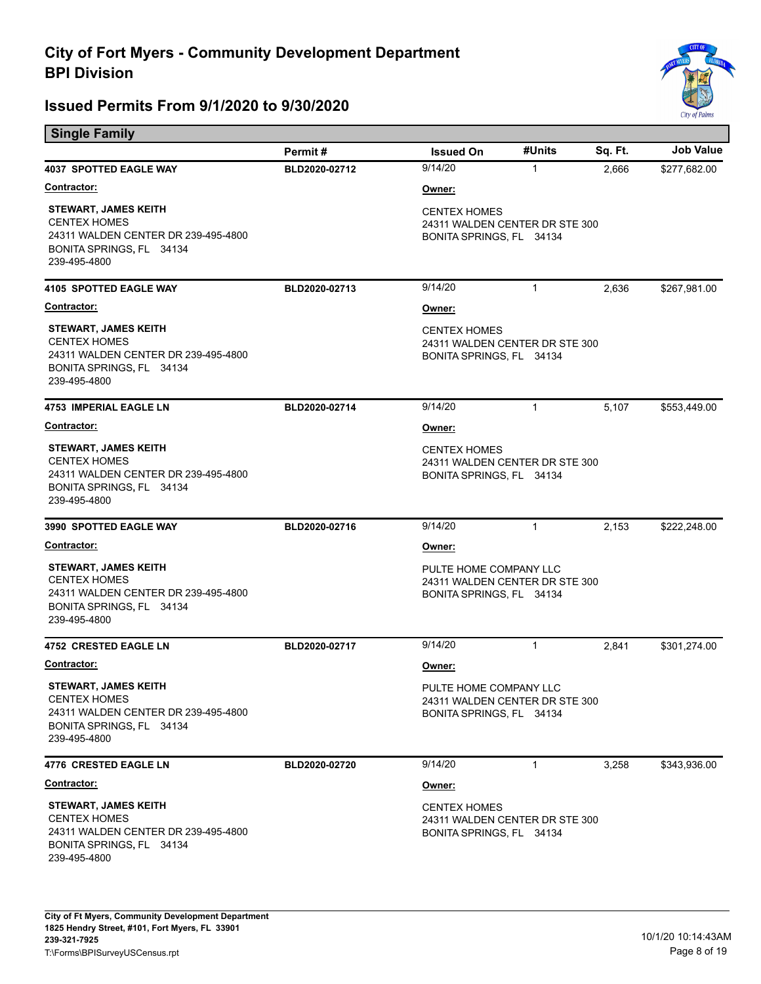

| <b>Single Family</b>                                                                                                                  |               |                                                                                      |              |         |                  |  |  |
|---------------------------------------------------------------------------------------------------------------------------------------|---------------|--------------------------------------------------------------------------------------|--------------|---------|------------------|--|--|
|                                                                                                                                       | Permit#       | <b>Issued On</b>                                                                     | #Units       | Sq. Ft. | <b>Job Value</b> |  |  |
| <b>4037 SPOTTED EAGLE WAY</b>                                                                                                         | BLD2020-02712 | 9/14/20                                                                              | $\mathbf{1}$ | 2,666   | \$277,682.00     |  |  |
| Contractor:                                                                                                                           |               | Owner:                                                                               |              |         |                  |  |  |
| STEWART, JAMES KEITH<br><b>CENTEX HOMES</b><br>24311 WALDEN CENTER DR 239-495-4800<br>BONITA SPRINGS, FL 34134<br>239-495-4800        |               | <b>CENTEX HOMES</b><br>24311 WALDEN CENTER DR STE 300<br>BONITA SPRINGS, FL 34134    |              |         |                  |  |  |
| 4105 SPOTTED EAGLE WAY                                                                                                                | BLD2020-02713 | 9/14/20                                                                              | $\mathbf{1}$ | 2,636   | \$267,981.00     |  |  |
| <b>Contractor:</b>                                                                                                                    |               | Owner:                                                                               |              |         |                  |  |  |
| <b>STEWART, JAMES KEITH</b><br><b>CENTEX HOMES</b><br>24311 WALDEN CENTER DR 239-495-4800<br>BONITA SPRINGS, FL 34134<br>239-495-4800 |               | <b>CENTEX HOMES</b><br>24311 WALDEN CENTER DR STE 300<br>BONITA SPRINGS, FL 34134    |              |         |                  |  |  |
| <b>4753 IMPERIAL EAGLE LN</b>                                                                                                         | BLD2020-02714 | 9/14/20                                                                              | 1            | 5,107   | \$553,449.00     |  |  |
| Contractor:                                                                                                                           |               | Owner:                                                                               |              |         |                  |  |  |
| <b>STEWART, JAMES KEITH</b><br><b>CENTEX HOMES</b><br>24311 WALDEN CENTER DR 239-495-4800<br>BONITA SPRINGS, FL 34134<br>239-495-4800 |               | <b>CENTEX HOMES</b><br>24311 WALDEN CENTER DR STE 300<br>BONITA SPRINGS, FL 34134    |              |         |                  |  |  |
| <b>3990 SPOTTED EAGLE WAY</b>                                                                                                         | BLD2020-02716 | 9/14/20                                                                              | 1            | 2,153   | \$222,248.00     |  |  |
| Contractor:                                                                                                                           |               | Owner:                                                                               |              |         |                  |  |  |
| <b>STEWART, JAMES KEITH</b><br><b>CENTEX HOMES</b><br>24311 WALDEN CENTER DR 239-495-4800<br>BONITA SPRINGS, FL 34134<br>239-495-4800 |               | PULTE HOME COMPANY LLC<br>24311 WALDEN CENTER DR STE 300<br>BONITA SPRINGS, FL 34134 |              |         |                  |  |  |
| 4752 CRESTED EAGLE LN                                                                                                                 | BLD2020-02717 | 9/14/20                                                                              | 1            | 2,841   | \$301,274.00     |  |  |
| <u>Contractor:</u>                                                                                                                    |               | Owner:                                                                               |              |         |                  |  |  |
| <b>STEWART, JAMES KEITH</b><br><b>CENTEX HOMES</b><br>24311 WALDEN CENTER DR 239-495-4800<br>BONITA SPRINGS, FL 34134<br>239-495-4800 |               | PULTE HOME COMPANY LLC<br>24311 WALDEN CENTER DR STE 300<br>BONITA SPRINGS, FL 34134 |              |         |                  |  |  |
| 4776 CRESTED EAGLE LN                                                                                                                 | BLD2020-02720 | 9/14/20                                                                              | $\mathbf{1}$ | 3,258   | \$343,936.00     |  |  |
| <b>Contractor:</b>                                                                                                                    |               | Owner:                                                                               |              |         |                  |  |  |
| <b>STEWART, JAMES KEITH</b><br><b>CENTEX HOMES</b><br>24311 WALDEN CENTER DR 239-495-4800<br>BONITA SPRINGS, FL 34134<br>239-495-4800 |               | <b>CENTEX HOMES</b><br>24311 WALDEN CENTER DR STE 300<br>BONITA SPRINGS, FL 34134    |              |         |                  |  |  |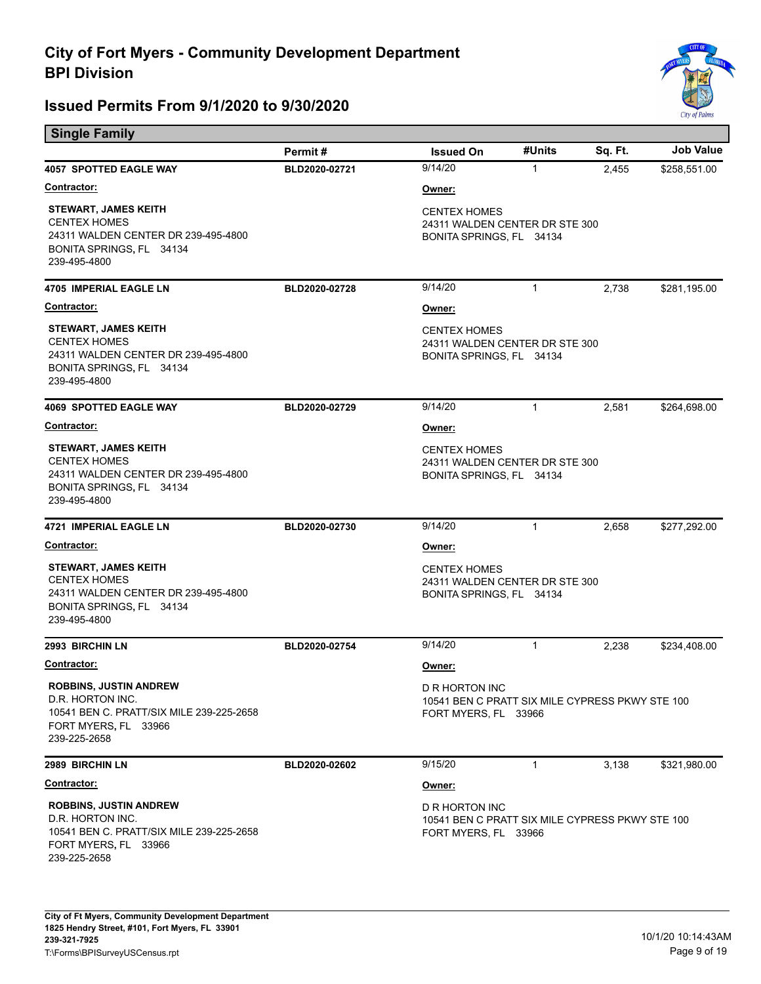

| <b>Single Family</b>                                                                                                                  |               |                                                                                                  |              |         |                  |  |
|---------------------------------------------------------------------------------------------------------------------------------------|---------------|--------------------------------------------------------------------------------------------------|--------------|---------|------------------|--|
|                                                                                                                                       | Permit#       | <b>Issued On</b>                                                                                 | #Units       | Sq. Ft. | <b>Job Value</b> |  |
| <b>4057 SPOTTED EAGLE WAY</b>                                                                                                         | BLD2020-02721 | 9/14/20                                                                                          | 1            | 2,455   | \$258,551.00     |  |
| <u>Contractor:</u>                                                                                                                    |               | <u>Owner:</u>                                                                                    |              |         |                  |  |
| STEWART, JAMES KEITH<br><b>CENTEX HOMES</b><br>24311 WALDEN CENTER DR 239-495-4800<br>BONITA SPRINGS, FL 34134<br>239-495-4800        |               | <b>CENTEX HOMES</b><br>24311 WALDEN CENTER DR STE 300<br>BONITA SPRINGS, FL 34134                |              |         |                  |  |
| <b>4705 IMPERIAL EAGLE LN</b>                                                                                                         | BLD2020-02728 | 9/14/20                                                                                          | 1            | 2,738   | \$281,195.00     |  |
| Contractor:                                                                                                                           |               | <u>Owner:</u>                                                                                    |              |         |                  |  |
| <b>STEWART, JAMES KEITH</b><br><b>CENTEX HOMES</b><br>24311 WALDEN CENTER DR 239-495-4800<br>BONITA SPRINGS, FL 34134<br>239-495-4800 |               | <b>CENTEX HOMES</b><br>24311 WALDEN CENTER DR STE 300<br>BONITA SPRINGS, FL 34134                |              |         |                  |  |
| <b>4069 SPOTTED EAGLE WAY</b>                                                                                                         | BLD2020-02729 | 9/14/20                                                                                          | 1            | 2,581   | \$264,698.00     |  |
| <b>Contractor:</b>                                                                                                                    |               | <u>Owner:</u>                                                                                    |              |         |                  |  |
| <b>STEWART, JAMES KEITH</b><br><b>CENTEX HOMES</b><br>24311 WALDEN CENTER DR 239-495-4800<br>BONITA SPRINGS, FL 34134<br>239-495-4800 |               | <b>CENTEX HOMES</b><br>24311 WALDEN CENTER DR STE 300<br>BONITA SPRINGS, FL 34134                |              |         |                  |  |
| 4721 IMPERIAL EAGLE LN                                                                                                                | BLD2020-02730 | 9/14/20                                                                                          | 1            | 2,658   | \$277,292.00     |  |
| <b>Contractor:</b>                                                                                                                    |               | <u>Owner:</u>                                                                                    |              |         |                  |  |
| <b>STEWART, JAMES KEITH</b><br><b>CENTEX HOMES</b><br>24311 WALDEN CENTER DR 239-495-4800<br>BONITA SPRINGS, FL 34134<br>239-495-4800 |               | <b>CENTEX HOMES</b><br>24311 WALDEN CENTER DR STE 300<br>BONITA SPRINGS, FL 34134                |              |         |                  |  |
| 2993 BIRCHIN LN                                                                                                                       | BLD2020-02754 | 9/14/20                                                                                          | 1            | 2,238   | \$234,408.00     |  |
| <b>Contractor:</b>                                                                                                                    |               | Owner:                                                                                           |              |         |                  |  |
| <b>ROBBINS, JUSTIN ANDREW</b><br>D.R. HORTON INC.<br>10541 BEN C. PRATT/SIX MILE 239-225-2658<br>FORT MYERS, FL 33966<br>239-225-2658 |               | <b>D R HORTON INC</b><br>10541 BEN C PRATT SIX MILE CYPRESS PKWY STE 100<br>FORT MYERS, FL 33966 |              |         |                  |  |
| 2989 BIRCHIN LN                                                                                                                       | BLD2020-02602 | 9/15/20                                                                                          | $\mathbf{1}$ | 3,138   | \$321,980.00     |  |
| <b>Contractor:</b>                                                                                                                    |               | Owner:                                                                                           |              |         |                  |  |
| <b>ROBBINS, JUSTIN ANDREW</b><br>D.R. HORTON INC.<br>10541 BEN C. PRATT/SIX MILE 239-225-2658<br>FORT MYERS, FL 33966<br>239-225-2658 |               | <b>D R HORTON INC</b><br>10541 BEN C PRATT SIX MILE CYPRESS PKWY STE 100<br>FORT MYERS, FL 33966 |              |         |                  |  |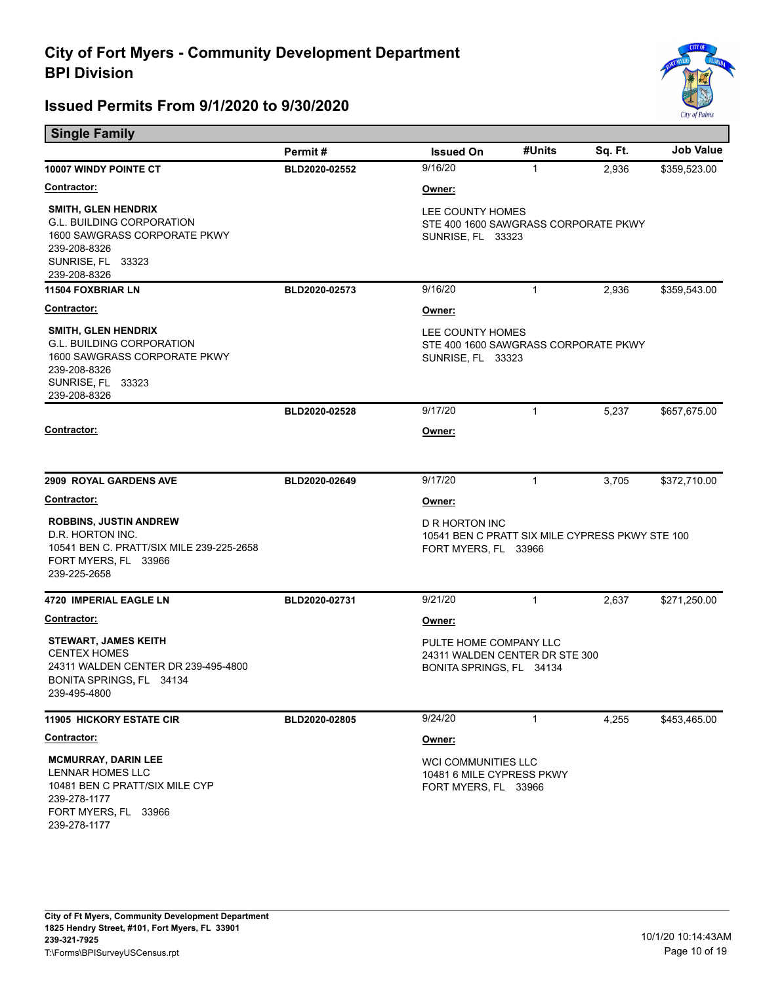

| <b>Single Family</b>                                                                                                                                |               |                                                                                           |              |         |                  |  |
|-----------------------------------------------------------------------------------------------------------------------------------------------------|---------------|-------------------------------------------------------------------------------------------|--------------|---------|------------------|--|
|                                                                                                                                                     | Permit#       | <b>Issued On</b>                                                                          | #Units       | Sq. Ft. | <b>Job Value</b> |  |
| <b>10007 WINDY POINTE CT</b>                                                                                                                        | BLD2020-02552 | 9/16/20                                                                                   | 1            | 2,936   | \$359,523.00     |  |
| <b>Contractor:</b>                                                                                                                                  |               | Owner:                                                                                    |              |         |                  |  |
| <b>SMITH, GLEN HENDRIX</b><br><b>G.L. BUILDING CORPORATION</b><br>1600 SAWGRASS CORPORATE PKWY<br>239-208-8326<br>SUNRISE, FL 33323<br>239-208-8326 |               | LEE COUNTY HOMES<br>STE 400 1600 SAWGRASS CORPORATE PKWY<br>SUNRISE, FL 33323             |              |         |                  |  |
| <b>11504 FOXBRIAR LN</b>                                                                                                                            | BLD2020-02573 | 9/16/20                                                                                   | $\mathbf{1}$ | 2,936   | \$359,543.00     |  |
| <u>Contractor:</u>                                                                                                                                  |               | Owner:                                                                                    |              |         |                  |  |
| <b>SMITH, GLEN HENDRIX</b><br><b>G.L. BUILDING CORPORATION</b><br>1600 SAWGRASS CORPORATE PKWY<br>239-208-8326<br>SUNRISE, FL 33323<br>239-208-8326 |               | LEE COUNTY HOMES<br>STE 400 1600 SAWGRASS CORPORATE PKWY<br>SUNRISE, FL 33323             |              |         |                  |  |
|                                                                                                                                                     | BLD2020-02528 | 9/17/20                                                                                   | $\mathbf{1}$ | 5,237   | \$657,675.00     |  |
| <u>Contractor:</u>                                                                                                                                  |               | Owner:                                                                                    |              |         |                  |  |
| <b>2909 ROYAL GARDENS AVE</b>                                                                                                                       | BLD2020-02649 | 9/17/20                                                                                   | $\mathbf{1}$ | 3,705   | \$372,710.00     |  |
| <b>Contractor:</b>                                                                                                                                  |               | Owner:                                                                                    |              |         |                  |  |
| <b>ROBBINS, JUSTIN ANDREW</b><br>D.R. HORTON INC.<br>10541 BEN C. PRATT/SIX MILE 239-225-2658<br>FORT MYERS, FL 33966<br>239-225-2658               |               | D R HORTON INC<br>10541 BEN C PRATT SIX MILE CYPRESS PKWY STE 100<br>FORT MYERS, FL 33966 |              |         |                  |  |
| <b>4720 IMPERIAL EAGLE LN</b>                                                                                                                       | BLD2020-02731 | 9/21/20                                                                                   | $\mathbf{1}$ | 2,637   | \$271,250.00     |  |
| <b>Contractor:</b>                                                                                                                                  |               | Owner:                                                                                    |              |         |                  |  |
| <b>STEWART, JAMES KEITH</b><br><b>CENTEX HOMES</b><br>24311 WALDEN CENTER DR 239-495-4800<br>BONITA SPRINGS, FL 34134<br>239-495-4800               |               | PULTE HOME COMPANY LLC<br>24311 WALDEN CENTER DR STE 300<br>BONITA SPRINGS, FL 34134      |              |         |                  |  |
| <b>11905 HICKORY ESTATE CIR</b>                                                                                                                     | BLD2020-02805 | 9/24/20                                                                                   | $\mathbf{1}$ | 4,255   | \$453,465.00     |  |
| <b>Contractor:</b>                                                                                                                                  |               | Owner:                                                                                    |              |         |                  |  |
| <b>MCMURRAY, DARIN LEE</b><br>LENNAR HOMES LLC<br>10481 BEN C PRATT/SIX MILE CYP<br>239-278-1177<br>FORT MYERS, FL 33966                            |               | <b>WCI COMMUNITIES LLC</b><br>10481 6 MILE CYPRESS PKWY<br>FORT MYERS, FL 33966           |              |         |                  |  |

239-278-1177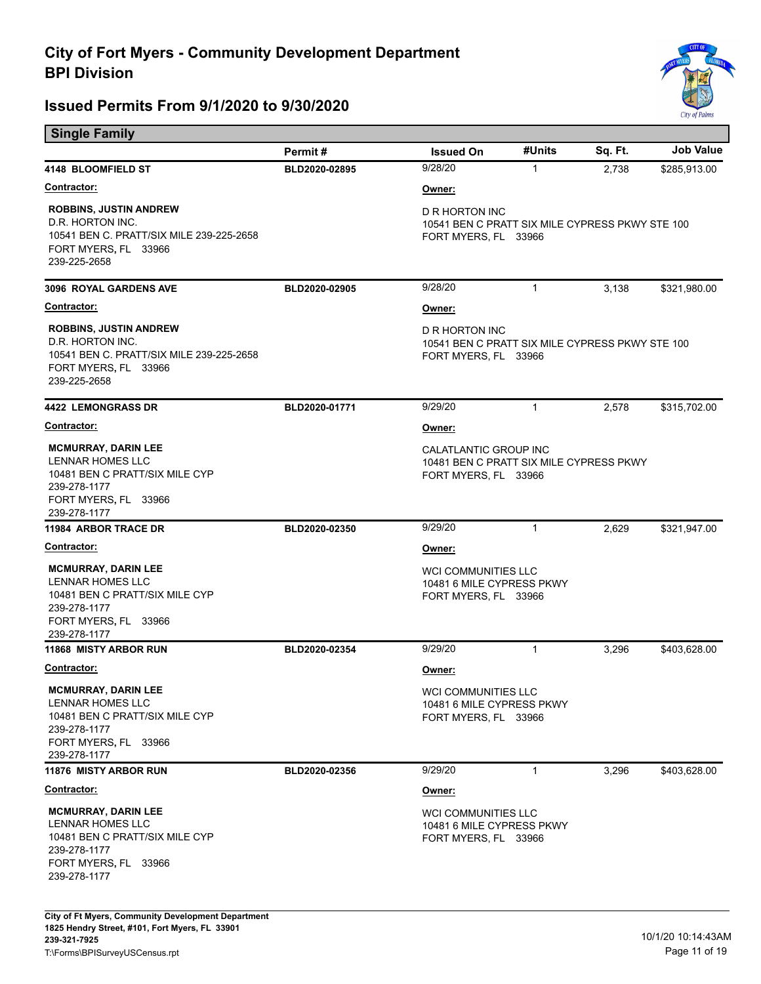Е



| <b>Single Family</b>                                                                                                                            |               |                                                                                           |              |         |                  |  |
|-------------------------------------------------------------------------------------------------------------------------------------------------|---------------|-------------------------------------------------------------------------------------------|--------------|---------|------------------|--|
|                                                                                                                                                 | Permit#       | <b>Issued On</b>                                                                          | #Units       | Sq. Ft. | <b>Job Value</b> |  |
| 4148 BLOOMFIELD ST                                                                                                                              | BLD2020-02895 | 9/28/20                                                                                   | $\mathbf{1}$ | 2,738   | \$285,913.00     |  |
| <b>Contractor:</b>                                                                                                                              |               | <u>Owner:</u>                                                                             |              |         |                  |  |
| <b>ROBBINS, JUSTIN ANDREW</b><br>D.R. HORTON INC.<br>10541 BEN C. PRATT/SIX MILE 239-225-2658<br>FORT MYERS, FL 33966<br>239-225-2658           |               | D R HORTON INC<br>10541 BEN C PRATT SIX MILE CYPRESS PKWY STE 100<br>FORT MYERS, FL 33966 |              |         |                  |  |
| 3096 ROYAL GARDENS AVE                                                                                                                          | BLD2020-02905 | 9/28/20                                                                                   | $\mathbf{1}$ | 3,138   | \$321,980.00     |  |
| Contractor:                                                                                                                                     |               | Owner:                                                                                    |              |         |                  |  |
| <b>ROBBINS, JUSTIN ANDREW</b><br>D.R. HORTON INC.<br>10541 BEN C. PRATT/SIX MILE 239-225-2658<br>FORT MYERS, FL 33966<br>239-225-2658           |               | D R HORTON INC<br>10541 BEN C PRATT SIX MILE CYPRESS PKWY STE 100<br>FORT MYERS, FL 33966 |              |         |                  |  |
| <b>4422 LEMONGRASS DR</b>                                                                                                                       | BLD2020-01771 | 9/29/20                                                                                   | $\mathbf{1}$ | 2,578   | \$315,702.00     |  |
| Contractor:                                                                                                                                     |               | Owner:                                                                                    |              |         |                  |  |
| <b>MCMURRAY, DARIN LEE</b><br><b>LENNAR HOMES LLC</b><br>10481 BEN C PRATT/SIX MILE CYP<br>239-278-1177<br>FORT MYERS, FL 33966                 |               | CALATLANTIC GROUP INC<br>10481 BEN C PRATT SIX MILE CYPRESS PKWY<br>FORT MYERS, FL 33966  |              |         |                  |  |
| 239-278-1177<br>11984 ARBOR TRACE DR                                                                                                            | BLD2020-02350 | 9/29/20                                                                                   | $\mathbf{1}$ | 2,629   | \$321,947.00     |  |
| Contractor:                                                                                                                                     |               |                                                                                           |              |         |                  |  |
| <b>MCMURRAY, DARIN LEE</b><br><b>LENNAR HOMES LLC</b><br>10481 BEN C PRATT/SIX MILE CYP<br>239-278-1177<br>FORT MYERS, FL 33966<br>239-278-1177 |               | Owner:<br>WCI COMMUNITIES LLC<br>10481 6 MILE CYPRESS PKWY<br>FORT MYERS, FL 33966        |              |         |                  |  |
| <b>11868 MISTY ARBOR RUN</b>                                                                                                                    | BLD2020-02354 | 9/29/20                                                                                   | $\mathbf{1}$ | 3,296   | \$403,628.00     |  |
| <b>Contractor:</b>                                                                                                                              |               | Owner:                                                                                    |              |         |                  |  |
| <b>MCMURRAY, DARIN LEE</b><br>LENNAR HOMES LLC<br>10481 BEN C PRATT/SIX MILE CYP<br>239-278-1177<br>FORT MYERS, FL 33966<br>239-278-1177        |               | WCI COMMUNITIES LLC<br>10481 6 MILE CYPRESS PKWY<br>FORT MYERS, FL 33966                  |              |         |                  |  |
| 11876 MISTY ARBOR RUN                                                                                                                           | BLD2020-02356 | 9/29/20                                                                                   | 1            | 3,296   | \$403,628.00     |  |
| <u>Contractor:</u>                                                                                                                              |               | Owner:                                                                                    |              |         |                  |  |
| <b>MCMURRAY, DARIN LEE</b><br>LENNAR HOMES LLC<br>10481 BEN C PRATT/SIX MILE CYP<br>239-278-1177<br>FORT MYERS, FL 33966<br>239-278-1177        |               | WCI COMMUNITIES LLC<br>10481 6 MILE CYPRESS PKWY<br>FORT MYERS, FL 33966                  |              |         |                  |  |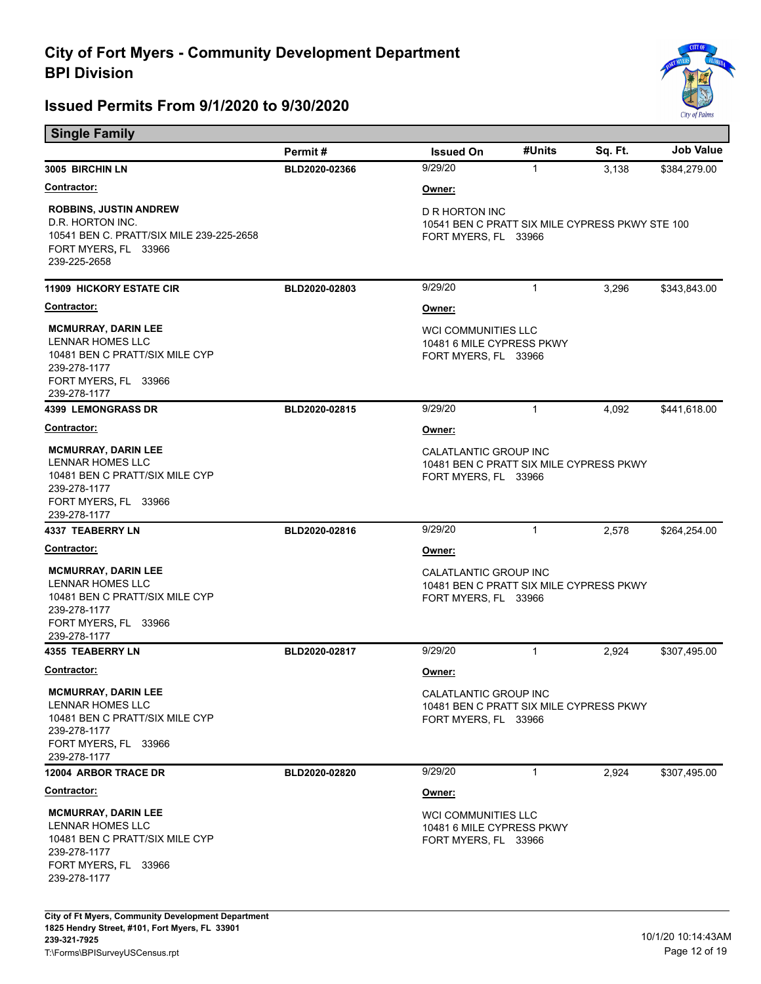

 FORT MYERS**,** FL 33966 FORT MYERS, FL 33966  FORT MYERS**,** FL 33966 FORT MYERS, FL 33966  FORT MYERS**,** FL 33966 FORT MYERS, FL 33966  FORT MYERS**,** FL 33966 FORT MYERS, FL 33966  FORT MYERS**,** FL 33966 FORT MYERS, FL 33966  FORT MYERS**,** FL 33966 FORT MYERS, FL 33966 **Single Family 3005 BIRCHIN LN Contractor: Permit # BLD2020-02366 Issued On**  9/29/20 **Owner: #Units**  1 **Sq. Ft.**  3,138 **Job Value**  \$384,279.00 **ROBBINS, JUSTIN ANDREW**  D.R. HORTON INC. 10541 BEN C. PRATT/SIX MILE 239-225-2658 239-225-2658 D R HORTON INC 10541 BEN C PRATT SIX MILE CYPRESS PKWY STE 100 **11909 HICKORY ESTATE CIR Contractor: BLD2020-02803** 9/29/20 **Owner:** 1 3,296 \$343,843.00 **MCMURRAY, DARIN LEE**  LENNAR HOMES LLC 10481 BEN C PRATT/SIX MILE CYP 239-278-1177 239-278-1177 **4399 LEMONGRASS DR Contractor: BLD2020-02815**  WCI COMMUNITIES LLC 10481 6 MILE CYPRESS PKWY 9/29/20 1 **Owner:** 4,092 \$441,618.00 **MCMURRAY, DARIN LEE**  LENNAR HOMES LLC 10481 BEN C PRATT/SIX MILE CYP 239-278-1177 239-278-1177 **4337 TEABERRY LN Contractor: BLD2020-02816**  CALATLANTIC GROUP INC 10481 BEN C PRATT SIX MILE CYPRESS PKWY 9/29/20 1 2,578 **Owner:** \$264,254.00 **MCMURRAY, DARIN LEE**  LENNAR HOMES LLC 10481 BEN C PRATT/SIX MILE CYP 239-278-1177 239-278-1177 **4355 TEABERRY LN Contractor: BLD2020-02817**  CALATLANTIC GROUP INC 10481 BEN C PRATT SIX MILE CYPRESS PKWY 9/29/20 1 2,924 **Owner:** \$307,495.00 **MCMURRAY, DARIN LEE**  LENNAR HOMES LLC 10481 BEN C PRATT/SIX MILE CYP 239-278-1177 239-278-1177 CALATLANTIC GROUP INC 10481 BEN C PRATT SIX MILE CYPRESS PKWY **12004 ARBOR TRACE DR BLD2020-02820** 9/29/20 1 2,924 [\\$307,495.00](https://307,495.00)  **Contractor:** Owner: **Owner:** Owner: **Owner: Owner:** Owner: **Owner:** Owner: **Owner:** Owner: **Owner:** Owner: **Owner:** Owner: **Owner:** Owner: **Owner: MCMURRAY, DARIN LEE**<br>LENNAR HOMES LLC<br>LENNAR HOMES LLC 10481 6 MILE CYPRESS PKWY 10481 BEN C PRATT/SIX MILE CYP 239-278-1177 239-278-1177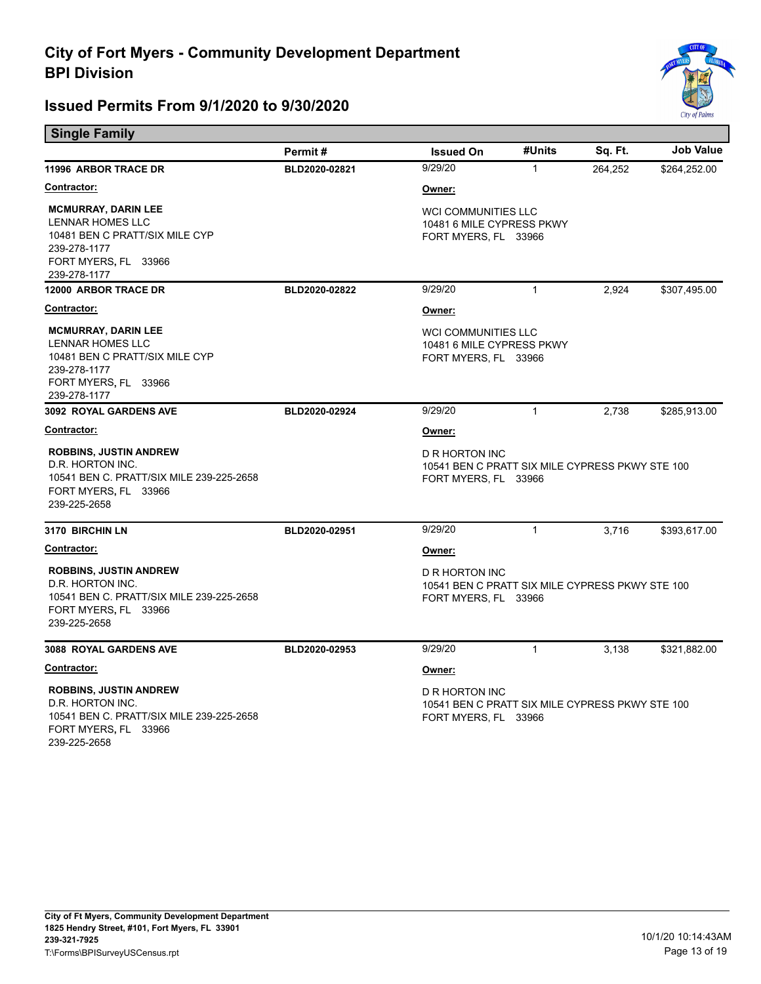

| <b>Single Family</b>                                                                                                                     |               |                                                                                           |              |         |                  |  |
|------------------------------------------------------------------------------------------------------------------------------------------|---------------|-------------------------------------------------------------------------------------------|--------------|---------|------------------|--|
|                                                                                                                                          | Permit#       | <b>Issued On</b>                                                                          | #Units       | Sq. Ft. | <b>Job Value</b> |  |
| <b>11996 ARBOR TRACE DR</b>                                                                                                              | BLD2020-02821 | 9/29/20                                                                                   | $\mathbf{1}$ | 264,252 | \$264,252.00     |  |
| <b>Contractor:</b>                                                                                                                       |               | Owner:                                                                                    |              |         |                  |  |
| <b>MCMURRAY, DARIN LEE</b><br>LENNAR HOMES LLC<br>10481 BEN C PRATT/SIX MILE CYP<br>239-278-1177<br>FORT MYERS, FL 33966<br>239-278-1177 |               | <b>WCI COMMUNITIES LLC</b><br>10481 6 MILE CYPRESS PKWY<br>FORT MYERS, FL 33966           |              |         |                  |  |
| 12000 ARBOR TRACE DR                                                                                                                     | BLD2020-02822 | 9/29/20                                                                                   | $\mathbf{1}$ | 2,924   | \$307,495.00     |  |
| <u>Contractor:</u>                                                                                                                       |               | Owner:                                                                                    |              |         |                  |  |
| <b>MCMURRAY, DARIN LEE</b><br>LENNAR HOMES LLC<br>10481 BEN C PRATT/SIX MILE CYP<br>239-278-1177<br>FORT MYERS, FL 33966<br>239-278-1177 |               | <b>WCI COMMUNITIES LLC</b><br>10481 6 MILE CYPRESS PKWY<br>FORT MYERS, FL 33966           |              |         |                  |  |
| 3092 ROYAL GARDENS AVE                                                                                                                   | BLD2020-02924 | 9/29/20                                                                                   | $\mathbf{1}$ | 2,738   | \$285,913.00     |  |
| <b>Contractor:</b>                                                                                                                       |               | Owner:                                                                                    |              |         |                  |  |
| <b>ROBBINS, JUSTIN ANDREW</b><br>D.R. HORTON INC.<br>10541 BEN C. PRATT/SIX MILE 239-225-2658<br>FORT MYERS, FL 33966<br>239-225-2658    |               | D R HORTON INC<br>10541 BEN C PRATT SIX MILE CYPRESS PKWY STE 100<br>FORT MYERS, FL 33966 |              |         |                  |  |
| <b>3170 BIRCHIN LN</b>                                                                                                                   | BLD2020-02951 | 9/29/20                                                                                   | $\mathbf{1}$ | 3.716   | \$393,617.00     |  |
| <b>Contractor:</b>                                                                                                                       |               | Owner:                                                                                    |              |         |                  |  |
| <b>ROBBINS, JUSTIN ANDREW</b><br>D.R. HORTON INC.<br>10541 BEN C. PRATT/SIX MILE 239-225-2658<br>FORT MYERS, FL 33966<br>239-225-2658    |               | D R HORTON INC<br>10541 BEN C PRATT SIX MILE CYPRESS PKWY STE 100<br>FORT MYERS, FL 33966 |              |         |                  |  |
| <b>3088 ROYAL GARDENS AVE</b>                                                                                                            | BLD2020-02953 | 9/29/20                                                                                   | $\mathbf{1}$ | 3,138   | \$321,882.00     |  |
| <u>Contractor:</u>                                                                                                                       |               | Owner:                                                                                    |              |         |                  |  |
| <b>ROBBINS, JUSTIN ANDREW</b><br>D.R. HORTON INC.<br>10541 BEN C. PRATT/SIX MILE 239-225-2658<br>FORT MYERS, FL 33966<br>239-225-2658    |               | D R HORTON INC<br>10541 BEN C PRATT SIX MILE CYPRESS PKWY STE 100<br>FORT MYERS, FL 33966 |              |         |                  |  |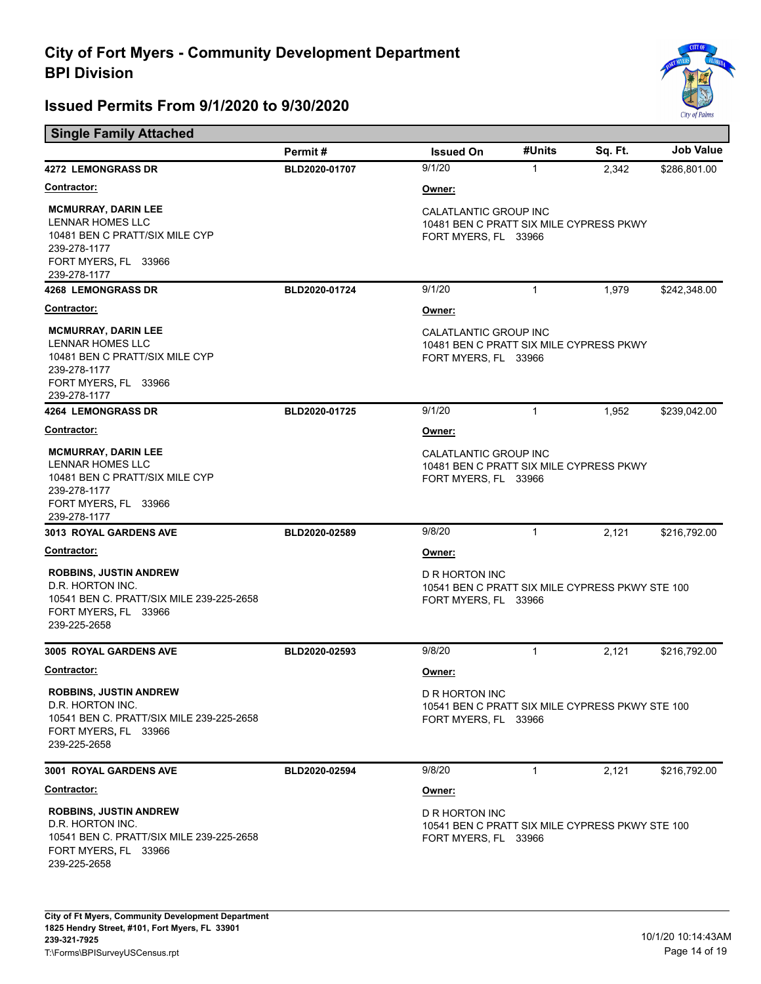

| <b>Single Family Attached</b>                                                                                                                   |               |                                                                                           |              |         |                  |  |
|-------------------------------------------------------------------------------------------------------------------------------------------------|---------------|-------------------------------------------------------------------------------------------|--------------|---------|------------------|--|
|                                                                                                                                                 | Permit#       | <b>Issued On</b>                                                                          | #Units       | Sq. Ft. | <b>Job Value</b> |  |
| <b>4272 LEMONGRASS DR</b>                                                                                                                       | BLD2020-01707 | 9/1/20                                                                                    | 1            | 2,342   | \$286,801.00     |  |
| <u>Contractor:</u>                                                                                                                              |               | Owner:                                                                                    |              |         |                  |  |
| <b>MCMURRAY, DARIN LEE</b><br>LENNAR HOMES LLC<br>10481 BEN C PRATT/SIX MILE CYP<br>239-278-1177<br>FORT MYERS, FL 33966<br>239-278-1177        |               | CALATLANTIC GROUP INC<br>10481 BEN C PRATT SIX MILE CYPRESS PKWY<br>FORT MYERS, FL 33966  |              |         |                  |  |
| <b>4268 LEMONGRASS DR</b>                                                                                                                       | BLD2020-01724 | 9/1/20                                                                                    | $\mathbf{1}$ | 1,979   | \$242,348.00     |  |
| <b>Contractor:</b>                                                                                                                              |               | Owner:                                                                                    |              |         |                  |  |
| <b>MCMURRAY, DARIN LEE</b><br><b>LENNAR HOMES LLC</b><br>10481 BEN C PRATT/SIX MILE CYP<br>239-278-1177<br>FORT MYERS, FL 33966<br>239-278-1177 |               | CALATLANTIC GROUP INC<br>10481 BEN C PRATT SIX MILE CYPRESS PKWY<br>FORT MYERS, FL 33966  |              |         |                  |  |
| <b>4264 LEMONGRASS DR</b>                                                                                                                       | BLD2020-01725 | 9/1/20                                                                                    | 1            | 1,952   | \$239,042.00     |  |
| <u>Contractor:</u>                                                                                                                              |               | Owner:                                                                                    |              |         |                  |  |
| <b>MCMURRAY, DARIN LEE</b><br><b>LENNAR HOMES LLC</b><br>10481 BEN C PRATT/SIX MILE CYP<br>239-278-1177<br>FORT MYERS, FL 33966<br>239-278-1177 |               | CALATLANTIC GROUP INC<br>10481 BEN C PRATT SIX MILE CYPRESS PKWY<br>FORT MYERS, FL 33966  |              |         |                  |  |
| 3013 ROYAL GARDENS AVE                                                                                                                          | BLD2020-02589 | 9/8/20                                                                                    | 1            | 2,121   | \$216,792.00     |  |
| <b>Contractor:</b>                                                                                                                              |               | Owner:                                                                                    |              |         |                  |  |
| <b>ROBBINS, JUSTIN ANDREW</b><br>D.R. HORTON INC.<br>10541 BEN C. PRATT/SIX MILE 239-225-2658<br>FORT MYERS, FL 33966<br>239-225-2658           |               | D R HORTON INC<br>10541 BEN C PRATT SIX MILE CYPRESS PKWY STE 100<br>FORT MYERS, FL 33966 |              |         |                  |  |
| 3005 ROYAL GARDENS AVE                                                                                                                          | BLD2020-02593 | 9/8/20                                                                                    | 1            | 2,121   | \$216,792.00     |  |
| <b>Contractor:</b>                                                                                                                              |               | Owner:                                                                                    |              |         |                  |  |
| <b>ROBBINS, JUSTIN ANDREW</b><br>D.R. HORTON INC.<br>10541 BEN C. PRATT/SIX MILE 239-225-2658<br>FORT MYERS, FL 33966<br>239-225-2658           |               | D R HORTON INC<br>10541 BEN C PRATT SIX MILE CYPRESS PKWY STE 100<br>FORT MYERS, FL 33966 |              |         |                  |  |
| 3001 ROYAL GARDENS AVE                                                                                                                          | BLD2020-02594 | 9/8/20                                                                                    | $\mathbf{1}$ | 2,121   | \$216,792.00     |  |
| <u>Contractor:</u>                                                                                                                              |               | Owner:                                                                                    |              |         |                  |  |
| <b>ROBBINS, JUSTIN ANDREW</b><br>D.R. HORTON INC.<br>10541 BEN C. PRATT/SIX MILE 239-225-2658<br>FORT MYERS, FL 33966<br>239-225-2658           |               | D R HORTON INC<br>10541 BEN C PRATT SIX MILE CYPRESS PKWY STE 100<br>FORT MYERS, FL 33966 |              |         |                  |  |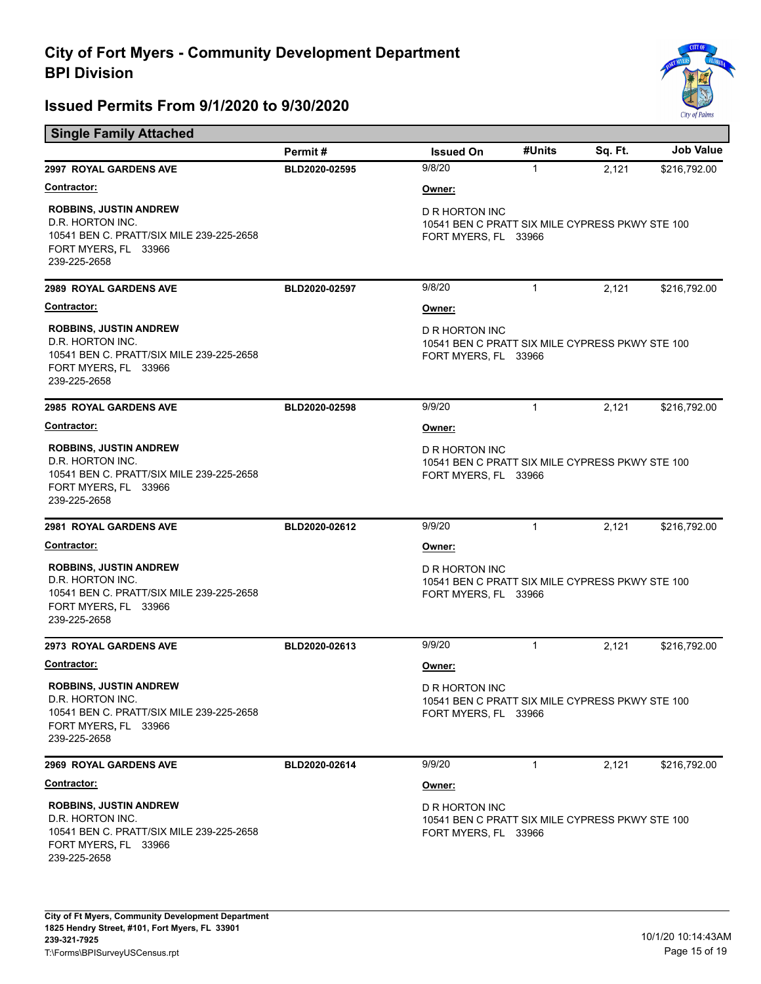

 FORT MYERS**,** FL 33966 FORT MYERS, FL 33966  FORT MYERS**,** FL 33966 FORT MYERS, FL 33966  FORT MYERS**,** FL 33966 FORT MYERS, FL 33966  FORT MYERS**,** FL 33966 FORT MYERS, FL 33966  FORT MYERS**,** FL 33966 FORT MYERS, FL 33966  FORT MYERS**,** FL 33966 FORT MYERS, FL 33966 **Single Family Attached 2997 ROYAL GARDENS AVE Permit # BLD2020-02595 Issued On**  9/8/20 **#Units**  1 **Sq. Ft.**  2,121 **Job Value**  \$216,792.00 **Contractor:** Owner: **ROBBINS, JUSTIN ANDREW**  D.R. HORTON INC. 10541 BEN C. PRATT/SIX MILE 239-225-2658 239-225-2658 D R HORTON INC 10541 BEN C PRATT SIX MILE CYPRESS PKWY STE 100 **2989 ROYAL GARDENS AVE BLD2020-02597** 9/8/20 1 2,121 \$216,792.00 **Contractor: Owner: Owner: Owner: Owner: Owner: Owner: Owner: Owner: Owner: Owner: Owner: Owner: Owner: Owner: Owner: Owner: OWNER: OWNER: OWNER: OWNER: OWNER: OWNER: OWNER: ROBBINS, JUSTIN ANDREW**  D.R. HORTON INC. 10541 BEN C. PRATT/SIX MILE 239-225-2658 239-225-2658 D R HORTON INC 10541 BEN C PRATT SIX MILE CYPRESS PKWY STE 100 **2985 ROYAL GARDENS AVE BLD2020-02598** 9/9/20 1 2,121 \$216,792.00 **Contractor:** Owner: **ROBBINS, JUSTIN ANDREW**  D.R. HORTON INC. 10541 BEN C. PRATT/SIX MILE 239-225-2658 239-225-2658 D R HORTON INC 10541 BEN C PRATT SIX MILE CYPRESS PKWY STE 100 **2981 ROYAL GARDENS AVE BLD2020-02612** 9/9/20 1 2,121 \$216,792.00 **Contractor:** Owner: **ROBBINS, JUSTIN ANDREW**  D.R. HORTON INC. 10541 BEN C. PRATT/SIX MILE 239-225-2658 239-225-2658 D R HORTON INC 10541 BEN C PRATT SIX MILE CYPRESS PKWY STE 100 **2973 ROYAL GARDENS AVE BLD2020-02613** 9/9/20 1 2,121 \$216,792.00 **Contractor: Owner: ROBBINS, JUSTIN ANDREW**  D.R. HORTON INC. 10541 BEN C. PRATT/SIX MILE 239-225-2658 239-225-2658 D R HORTON INC 10541 BEN C PRATT SIX MILE CYPRESS PKWY STE 100 **2969 ROYAL GARDENS AVE BLD2020-02614** 9/9/20 1 2,121 \$216,792.00 **Contractor:** Owner: **ROBBINS, JUSTIN ANDREW**  D.R. HORTON INC. 10541 BEN C. PRATT/SIX MILE 239-225-2658 239-225-2658 D R HORTON INC 10541 BEN C PRATT SIX MILE CYPRESS PKWY STE 100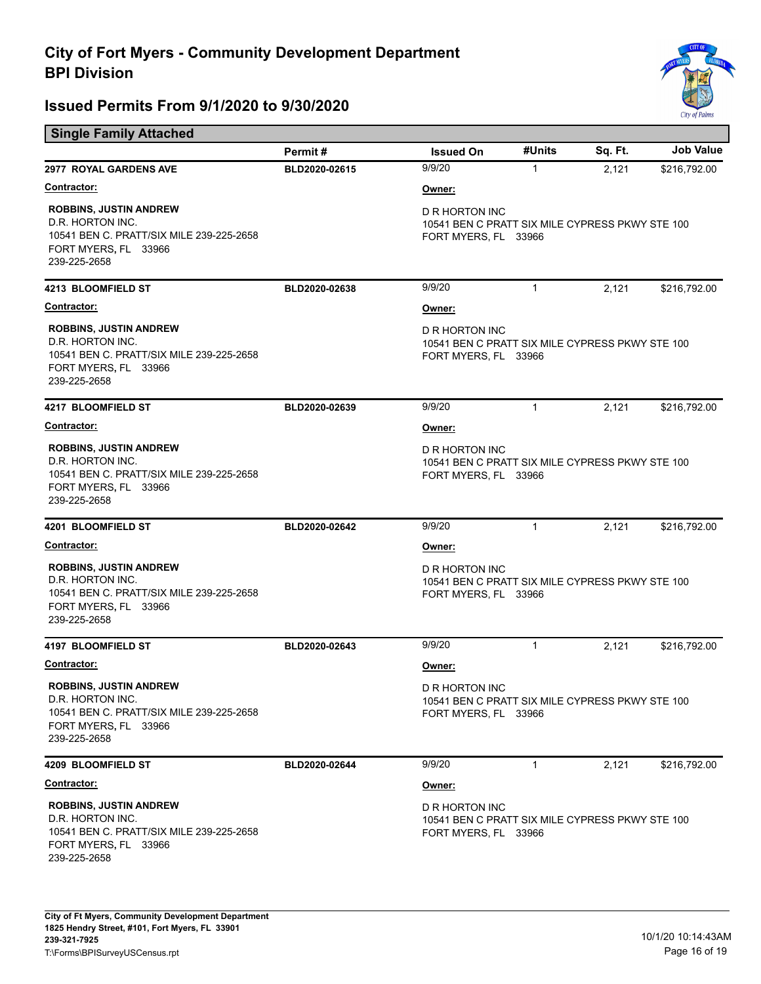

 FORT MYERS**,** FL 33966 FORT MYERS, FL 33966  FORT MYERS**,** FL 33966 FORT MYERS, FL 33966  FORT MYERS**,** FL 33966 FORT MYERS, FL 33966  FORT MYERS**,** FL 33966 FORT MYERS, FL 33966  FORT MYERS**,** FL 33966 FORT MYERS, FL 33966  FORT MYERS**,** FL 33966 FORT MYERS, FL 33966 **Single Family Attached 2977 ROYAL GARDENS AVE Permit # BLD2020-02615 Issued On**  9/9/20 **#Units**  1 **Sq. Ft.**  2,121 **Job Value**  \$216,792.00 **Contractor:** Owner: **ROBBINS, JUSTIN ANDREW**  D.R. HORTON INC. 10541 BEN C. PRATT/SIX MILE 239-225-2658 239-225-2658 D R HORTON INC 10541 BEN C PRATT SIX MILE CYPRESS PKWY STE 100 **4213 BLOOMFIELD ST BLD2020-02638** 9/9/20 1 2,121 \$216,792.00 **Contractor: Owner: ROBBINS, JUSTIN ANDREW**  D.R. HORTON INC. 10541 BEN C. PRATT/SIX MILE 239-225-2658 239-225-2658 D R HORTON INC 10541 BEN C PRATT SIX MILE CYPRESS PKWY STE 100 **4217 BLOOMFIELD ST BLD2020-02639** 9/9/20 1 2,121 \$216,792.00 **Contractor:** Owner: **ROBBINS, JUSTIN ANDREW**  D.R. HORTON INC. 10541 BEN C. PRATT/SIX MILE 239-225-2658 239-225-2658 D R HORTON INC 10541 BEN C PRATT SIX MILE CYPRESS PKWY STE 100 **4201 BLOOMFIELD ST BLD2020-02642** 9/9/20 1 2,121 \$216,792.00 **Contractor:** Owner: **ROBBINS, JUSTIN ANDREW**  D.R. HORTON INC. 10541 BEN C. PRATT/SIX MILE 239-225-2658 239-225-2658 D R HORTON INC 10541 BEN C PRATT SIX MILE CYPRESS PKWY STE 100 **4197 BLOOMFIELD ST BLD2020-02643** 9/9/20 1 2,121 \$216,792.00 **Contractor: Owner: ROBBINS, JUSTIN ANDREW**  D.R. HORTON INC. 10541 BEN C. PRATT/SIX MILE 239-225-2658 239-225-2658 D R HORTON INC 10541 BEN C PRATT SIX MILE CYPRESS PKWY STE 100 **4209 BLOOMFIELD ST BLD2020-02644** 9/9/20 1 2,121 \$216,792.00 **Contractor:** Owner: **ROBBINS, JUSTIN ANDREW**  D.R. HORTON INC. 10541 BEN C. PRATT/SIX MILE 239-225-2658 239-225-2658 D R HORTON INC 10541 BEN C PRATT SIX MILE CYPRESS PKWY STE 100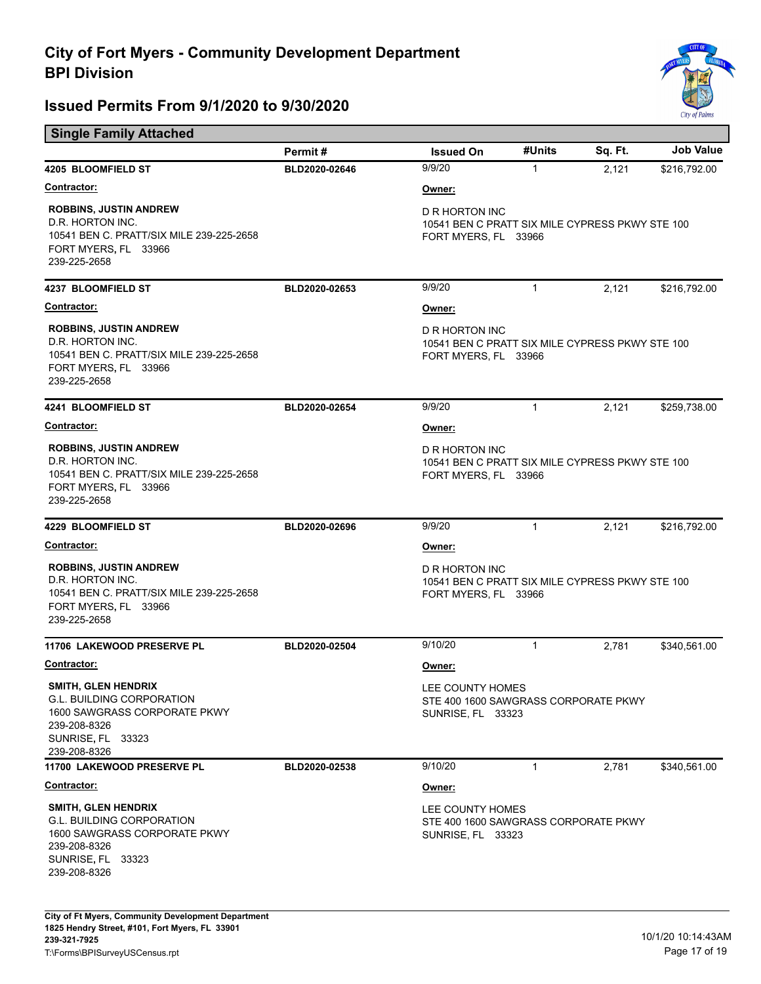

 FORT MYERS**,** FL 33966 FORT MYERS, FL 33966  FORT MYERS**,** FL 33966 FORT MYERS, FL 33966  FORT MYERS**,** FL 33966 FORT MYERS, FL 33966  FORT MYERS**,** FL 33966 FORT MYERS, FL 33966  SUNRISE**,** FL 33323 SUNRISE, FL 33323  SUNRISE**,** FL 33323 SUNRISE, FL 33323 **Single Family Attached 4205 BLOOMFIELD ST Permit # BLD2020-02646 Issued On**  9/9/20 **#Units**  1 **Sq. Ft.**  2,121 **Job Value**  \$216,792.00 **Contractor:** Owner: **ROBBINS, JUSTIN ANDREW**  D.R. HORTON INC. 10541 BEN C. PRATT/SIX MILE 239-225-2658 239-225-2658 D R HORTON INC 10541 BEN C PRATT SIX MILE CYPRESS PKWY STE 100 **4237 BLOOMFIELD ST BLD2020-02653** 9/9/20 1 2,121 \$216,792.00 **Contractor: Owner: ROBBINS, JUSTIN ANDREW**  D.R. HORTON INC. 10541 BEN C. PRATT/SIX MILE 239-225-2658 239-225-2658 D R HORTON INC 10541 BEN C PRATT SIX MILE CYPRESS PKWY STE 100 **4241 BLOOMFIELD ST BLD2020-02654** 9/9/20 1 2,121 \$259,738.00 **Contractor:** Owner: **ROBBINS, JUSTIN ANDREW**  D.R. HORTON INC. 10541 BEN C. PRATT/SIX MILE 239-225-2658 239-225-2658 D R HORTON INC 10541 BEN C PRATT SIX MILE CYPRESS PKWY STE 100 **4229 BLOOMFIELD ST BLD2020-02696** 9/9/20 1 2,121 \$216,792.00 **Contractor:** Owner: **ROBBINS, JUSTIN ANDREW**  D.R. HORTON INC. 10541 BEN C. PRATT/SIX MILE 239-225-2658 239-225-2658 D R HORTON INC 10541 BEN C PRATT SIX MILE CYPRESS PKWY STE 100 **11706 LAKEWOOD PRESERVE PL BLD2020-02504** 9/10/20 1 2,781 \$340,561.00 **Contractor: Owner: SMITH, GLEN HENDRIX**  G.L. BUILDING CORPORATION 1600 SAWGRASS CORPORATE PKWY 239-208-8326 239-208-8326 LEE COUNTY HOMES STE 400 1600 SAWGRASS CORPORATE PKWY **11700 LAKEWOOD PRESERVE PL BLD2020-02538** 9/10/20 1 2,781 [\\$340,561.00](https://340,561.00)  **Contractor: Owner: Owner: Owner: Owner: Owner: Owner: Owner: Owner: Owner: Owner: Owner: Owner: Owner: Owner: Owner: Owner: Owner: Owner: Owner: Owner: Owner: Owner: OWNER SMITH, GLEN HENDRIX**<br>
G.L. BUILDING CORPORATION STE 400 1600 SAWGRASS CORPORATE PKWY 1600 SAWGRASS CORPORATE PKWY 239-208-8326 239-208-8326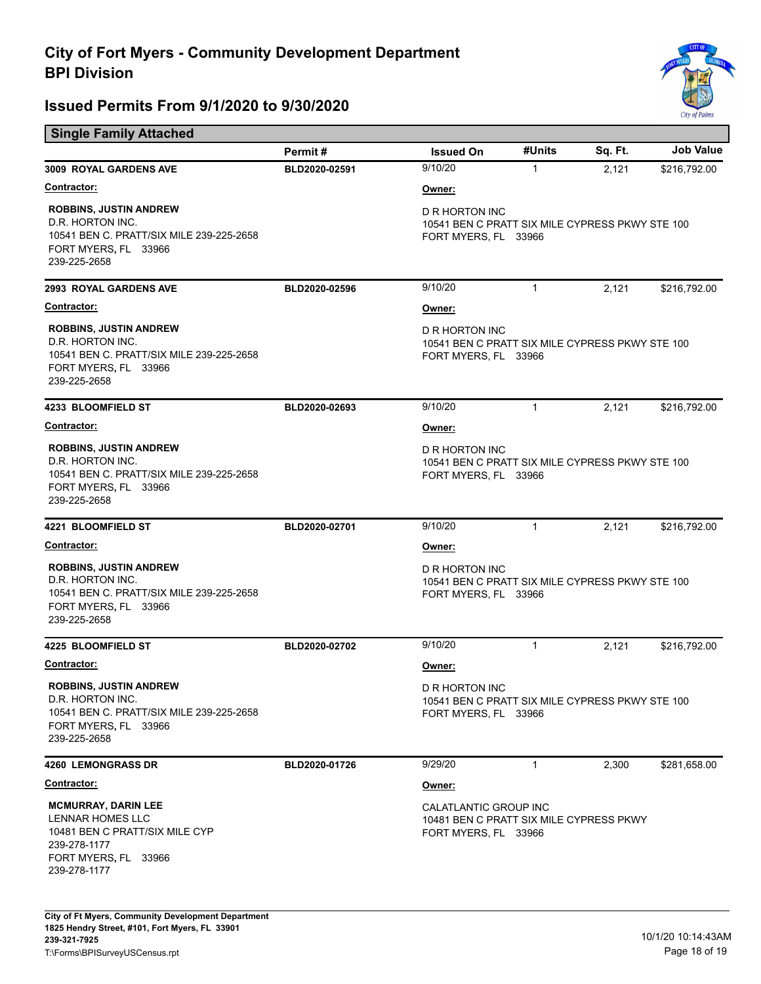

 FORT MYERS**,** FL 33966 FORT MYERS, FL 33966  FORT MYERS**,** FL 33966 FORT MYERS, FL 33966  FORT MYERS**,** FL 33966 FORT MYERS, FL 33966  FORT MYERS**,** FL 33966 FORT MYERS, FL 33966  FORT MYERS**,** FL 33966 FORT MYERS, FL 33966  FORT MYERS**,** FL 33966 FORT MYERS, FL 33966 **Single Family Attached 3009 ROYAL GARDENS AVE Permit # BLD2020-02591 Issued On**  9/10/20 **#Units**  1 **Sq. Ft.**  2,121 **Job Value**  \$216,792.00 **Contractor: Owner: ROBBINS, JUSTIN ANDREW**  D.R. HORTON INC. 10541 BEN C. PRATT/SIX MILE 239-225-2658 239-225-2658 D R HORTON INC 10541 BEN C PRATT SIX MILE CYPRESS PKWY STE 100 **2993 ROYAL GARDENS AVE BLD2020-02596** 9/10/20 1 2,121 \$216,792.00 **Contractor: Owner: Owner: Owner: Owner: Owner: Owner: Owner: Owner: Owner: Owner: Owner: Owner: Owner: Owner: Owner: Owner: OWNER: OWNER: OWNER: OWNER: OWNER: OWNER: OWNER: ROBBINS, JUSTIN ANDREW**  D.R. HORTON INC. 10541 BEN C. PRATT/SIX MILE 239-225-2658 239-225-2658 D R HORTON INC 10541 BEN C PRATT SIX MILE CYPRESS PKWY STE 100 **4233 BLOOMFIELD ST BLD2020-02693** 9/10/20 1 2,121 \$216,792.00 **Contractor:** Owner: **ROBBINS, JUSTIN ANDREW**  D.R. HORTON INC. 10541 BEN C. PRATT/SIX MILE 239-225-2658 239-225-2658 D R HORTON INC 10541 BEN C PRATT SIX MILE CYPRESS PKWY STE 100 **4221 BLOOMFIELD ST BLD2020-02701** 9/10/20 1 2,121 \$216,792.00 **Contractor:** Owner: **ROBBINS, JUSTIN ANDREW**  D.R. HORTON INC. 10541 BEN C. PRATT/SIX MILE 239-225-2658 239-225-2658 D R HORTON INC 10541 BEN C PRATT SIX MILE CYPRESS PKWY STE 100 **4225 BLOOMFIELD ST BLD2020-02702** 9/10/20 1 2,121 \$216,792.00 **Contractor: Owner: ROBBINS, JUSTIN ANDREW**  D.R. HORTON INC. 10541 BEN C. PRATT/SIX MILE 239-225-2658 239-225-2658 D R HORTON INC 10541 BEN C PRATT SIX MILE CYPRESS PKWY STE 100 **4260 LEMONGRASS DR BLD2020-01726** 9/29/20 1 2,300 [\\$281,658.00](https://281,658.00)  **Contractor:** Owner: **MCMURRAY, DARIN LEE** CALATLANTIC GROUP INC 10481 BEN C PRATT SIX MILE CYPRESS PKWY 10481 BEN C PRATT/SIX MILE CYP 239-278-1177 239-278-1177